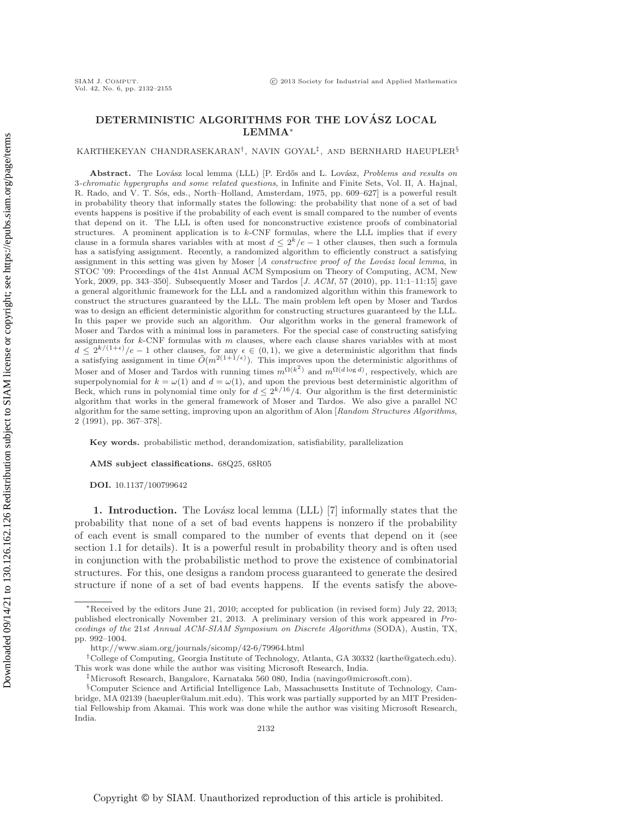## **DETERMINISTIC ALGORITHMS FOR THE LOVASZ LOCAL ´ LEMMA**∗

KARTHEKEYAN CHANDRASEKARAN<sup>†</sup>, NAVIN GOYAL<sup>‡</sup>, AND BERNHARD HAEUPLER<sup>§</sup>

Abstract. The Lovász local lemma (LLL) [P. Erdős and L. Lovász, *Problems and results on* 3-chromatic hypergraphs and some related questions, in Infinite and Finite Sets, Vol. II, A. Hajnal, R. Rado, and V. T. Sós, eds., North–Holland, Amsterdam, 1975, pp. 609–627] is a powerful result in probability theory that informally states the following: the probability that none of a set of bad events happens is positive if the probability of each event is small compared to the number of events that depend on it. The LLL is often used for nonconstructive existence proofs of combinatorial structures. A prominent application is to  $k$ -CNF formulas, where the LLL implies that if every clause in a formula shares variables with at most  $d \leq 2^k/e - 1$  other clauses, then such a formula has a satisfying assignment. Recently, a randomized algorithm to efficiently construct a satisfying assignment in this setting was given by Moser  $[A$  constructive proof of the Lovász local lemma, in STOC '09: Proceedings of the 41st Annual ACM Symposium on Theory of Computing, ACM, New York, 2009, pp. 343–350]. Subsequently Moser and Tardos [*J. ACM*, 57 (2010), pp. 11:1–11:15] gave a general algorithmic framework for the LLL and a randomized algorithm within this framework to construct the structures guaranteed by the LLL. The main problem left open by Moser and Tardos was to design an efficient deterministic algorithm for constructing structures guaranteed by the LLL. In this paper we provide such an algorithm. Our algorithm works in the general framework of Moser and Tardos with a minimal loss in parameters. For the special case of constructing satisfying assignments for  $k$ -CNF formulas with  $m$  clauses, where each clause shares variables with at most  $d \leq 2^{k/(1+\epsilon)}/e - 1$  other clauses, for any  $\epsilon \in (0,1)$ , we give a deterministic algorithm that finds a satisfying assignment in time  $\tilde{O}(m^{2(1+\tilde{1}/\epsilon)})$ . This improves upon the deterministic algorithms of Moser and of Moser and Tardos with running times  $m^{\Omega(k^2)}$  and  $m^{\Omega(d \log d)}$ , respectively, which are superpolynomial for  $k = \omega(1)$  and  $d = \omega(1)$ , and upon the previous best deterministic algorithm of Beck, which runs in polynomial time only for  $d \leq 2^{k/16}/4$ . Our algorithm is the first deterministic algorithm that works in the general framework of Moser and Tardos. We also give a parallel NC algorithm for the same setting, improving upon an algorithm of Alon [Random Structures Algorithms, 2 (1991), pp. 367–378].

**Key words.** probabilistic method, derandomization, satisfiability, parallelization

**AMS subject classifications.** 68Q25, 68R05

**DOI.** 10.1137/100799642

**1. Introduction.** The Lovász local lemma (LLL) [7] informally states that the probability that none of a set of bad events happens is nonzero if the probability of each event is small compared to the number of events that depend on it (see section 1.1 for details). It is a powerful result in probability theory and is often used in conjunction with the probabilistic method to prove the existence of combinatorial structures. For this, one designs a random process guaranteed to generate the desired structure if none of a set of bad events happens. If the events satisfy the above-

<sup>∗</sup>Received by the editors June 21, 2010; accepted for publication (in revised form) July 22, 2013; published electronically November 21, 2013. A preliminary version of this work appeared in Proceedings of the 21st Annual ACM-SIAM Symposium on Discrete Algorithms (SODA), Austin, TX, pp. 992–1004.

http://www.siam.org/journals/sicomp/42-6/79964.html

<sup>†</sup>College of Computing, Georgia Institute of Technology, Atlanta, GA 30332 (karthe@gatech.edu). This work was done while the author was visiting Microsoft Research, India.

<sup>‡</sup>Microsoft Research, Bangalore, Karnataka 560 080, India (navingo@microsoft.com).

<sup>§</sup>Computer Science and Artificial Intelligence Lab, Massachusetts Institute of Technology, Cambridge, MA 02139 (haeupler@alum.mit.edu). This work was partially supported by an MIT Presidential Fellowship from Akamai. This work was done while the author was visiting Microsoft Research, India.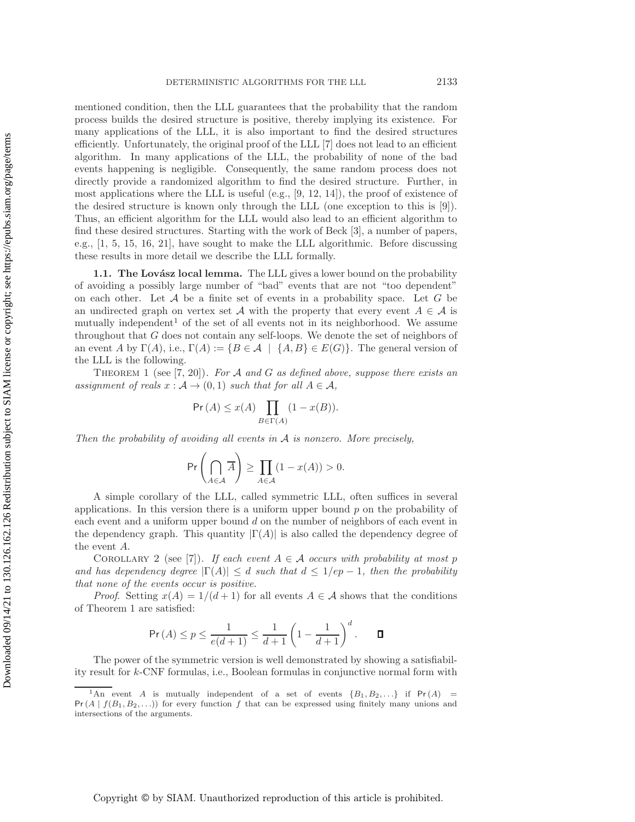mentioned condition, then the LLL guarantees that the probability that the random process builds the desired structure is positive, thereby implying its existence. For many applications of the LLL, it is also important to find the desired structures efficiently. Unfortunately, the original proof of the LLL [7] does not lead to an efficient algorithm. In many applications of the LLL, the probability of none of the bad events happening is negligible. Consequently, the same random process does not directly provide a randomized algorithm to find the desired structure. Further, in most applications where the LLL is useful (e.g., [9, 12, 14]), the proof of existence of the desired structure is known only through the LLL (one exception to this is [9]). Thus, an efficient algorithm for the LLL would also lead to an efficient algorithm to find these desired structures. Starting with the work of Beck [3], a number of papers, e.g., [1, 5, 15, 16, 21], have sought to make the LLL algorithmic. Before discussing these results in more detail we describe the LLL formally.

1.1. The Lovász local lemma. The LLL gives a lower bound on the probability of avoiding a possibly large number of "bad" events that are not "too dependent" on each other. Let  $A$  be a finite set of events in a probability space. Let  $G$  be an undirected graph on vertex set A with the property that every event  $A \in \mathcal{A}$  is mutually independent<sup>1</sup> of the set of all events not in its neighborhood. We assume throughout that G does not contain any self-loops. We denote the set of neighbors of an event A by  $\Gamma(A)$ , i.e.,  $\Gamma(A) := \{ B \in \mathcal{A} \mid \{A, B\} \in E(G) \}.$  The general version of the LLL is the following.

Theorem 1 (see [7, 20]). *For* A *and* G *as defined above, suppose there exists an assignment of reals*  $x : A \rightarrow (0,1)$  *such that for all*  $A \in \mathcal{A}$ *,* 

$$
\Pr\left(A\right) \le x(A) \prod_{B \in \Gamma(A)} (1 - x(B)).
$$

*Then the probability of avoiding all events in* A *is nonzero. More precisely,*

$$
\Pr\left(\bigcap_{A\in\mathcal{A}}\overline{A}\right) \ge \prod_{A\in\mathcal{A}}(1-x(A)) > 0.
$$

A simple corollary of the LLL, called symmetric LLL, often suffices in several applications. In this version there is a uniform upper bound  $p$  on the probability of each event and a uniform upper bound d on the number of neighbors of each event in the dependency graph. This quantity  $|\Gamma(A)|$  is also called the dependency degree of the event A.

COROLLARY 2 (see [7]). *If each event*  $A \in \mathcal{A}$  *occurs with probability at most* p *and has dependency degree*  $|\Gamma(A)| \leq d$  *such that*  $d \leq 1/ep - 1$ *, then the probability that none of the events occur is positive.*

*Proof.* Setting  $x(A) = 1/(d + 1)$  for all events  $A \in \mathcal{A}$  shows that the conditions of Theorem 1 are satisfied:

$$
\Pr\left(A\right)\le p\le\frac{1}{e(d+1)}\le\frac{1}{d+1}\left(1-\frac{1}{d+1}\right)^d.\qquad\blacksquare
$$

The power of the symmetric version is well demonstrated by showing a satisfiability result for k-CNF formulas, i.e., Boolean formulas in conjunctive normal form with

<sup>&</sup>lt;sup>1</sup>An event A is mutually independent of a set of events  ${B_1, B_2,...}$  if Pr(A) =  $Pr(A \mid f(B_1, B_2,...))$  for every function f that can be expressed using finitely many unions and intersections of the arguments.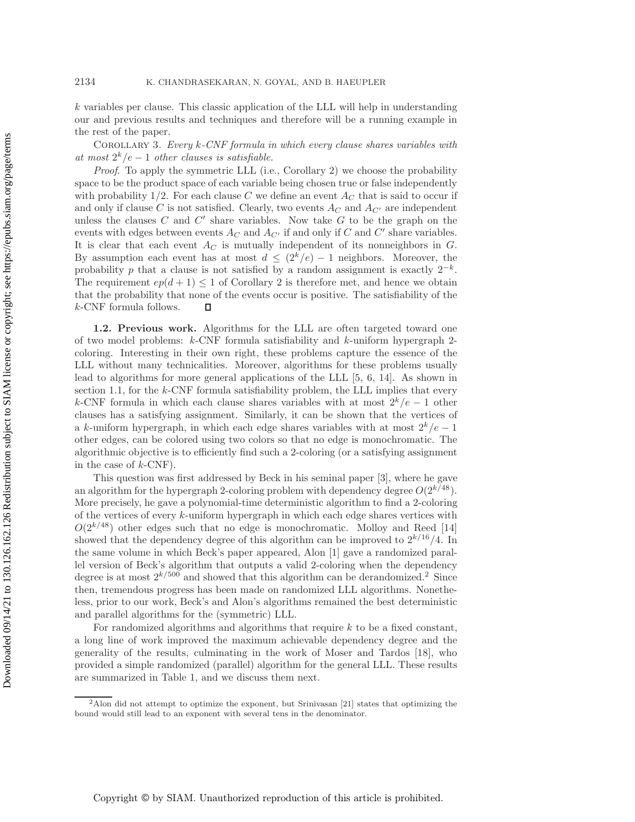$k$  variables per clause. This classic application of the LLL will help in understanding our and previous results and techniques and therefore will be a running example in the rest of the paper.

Corollary 3. *Every* k*-CNF formula in which every clause shares variables with at most*  $2^k/e - 1$  *other clauses is satisfiable.* 

*Proof*. To apply the symmetric LLL (i.e., Corollary 2) we choose the probability space to be the product space of each variable being chosen true or false independently with probability  $1/2$ . For each clause C we define an event  $A_C$  that is said to occur if and only if clause C is not satisfied. Clearly, two events  $A_C$  and  $A_{C'}$  are independent unless the clauses  $C$  and  $C'$  share variables. Now take  $G$  to be the graph on the events with edges between events  $A_C$  and  $A_{C'}$  if and only if C and C' share variables. It is clear that each event  $A_C$  is mutually independent of its nonneighbors in  $G$ . By assumption each event has at most  $d \leq (2^k/e) - 1$  neighbors. Moreover, the probability p that a clause is not satisfied by a random assignment is exactly  $2^{-k}$ . The requirement  $ep(d+1) \leq 1$  of Corollary 2 is therefore met, and hence we obtain that the probability that none of the events occur is positive. The satisfiability of the k-CNF formula follows.  $\Box$ 

**1.2. Previous work.** Algorithms for the LLL are often targeted toward one of two model problems:  $k$ -CNF formula satisfiability and  $k$ -uniform hypergraph 2coloring. Interesting in their own right, these problems capture the essence of the LLL without many technicalities. Moreover, algorithms for these problems usually lead to algorithms for more general applications of the LLL [5, 6, 14]. As shown in section 1.1, for the  $k$ -CNF formula satisfiability problem, the LLL implies that every k-CNF formula in which each clause shares variables with at most  $2^k/e - 1$  other clauses has a satisfying assignment. Similarly, it can be shown that the vertices of a k-uniform hypergraph, in which each edge shares variables with at most  $2^k/e - 1$ other edges, can be colored using two colors so that no edge is monochromatic. The algorithmic objective is to efficiently find such a 2-coloring (or a satisfying assignment in the case of  $k$ -CNF).

This question was first addressed by Beck in his seminal paper [3], where he gave an algorithm for the hypergraph 2-coloring problem with dependency degree  $O(2^{k/48})$ . More precisely, he gave a polynomial-time deterministic algorithm to find a 2-coloring of the vertices of every  $k$ -uniform hypergraph in which each edge shares vertices with  $O(2^{k/48})$  other edges such that no edge is monochromatic. Molloy and Reed [14] showed that the dependency degree of this algorithm can be improved to  $2^{k/16}/4$ . In the same volume in which Beck's paper appeared, Alon [1] gave a randomized parallel version of Beck's algorithm that outputs a valid 2-coloring when the dependency degree is at most  $2^{k/500}$  and showed that this algorithm can be derandomized.<sup>2</sup> Since then, tremendous progress has been made on randomized LLL algorithms. Nonetheless, prior to our work, Beck's and Alon's algorithms remained the best deterministic and parallel algorithms for the (symmetric) LLL.

For randomized algorithms and algorithms that require  $k$  to be a fixed constant, a long line of work improved the maximum achievable dependency degree and the generality of the results, culminating in the work of Moser and Tardos [18], who provided a simple randomized (parallel) algorithm for the general LLL. These results are summarized in Table 1, and we discuss them next.

<sup>&</sup>lt;sup>2</sup>Alon did not attempt to optimize the exponent, but Srinivasan [21] states that optimizing the bound would still lead to an exponent with several tens in the denominator.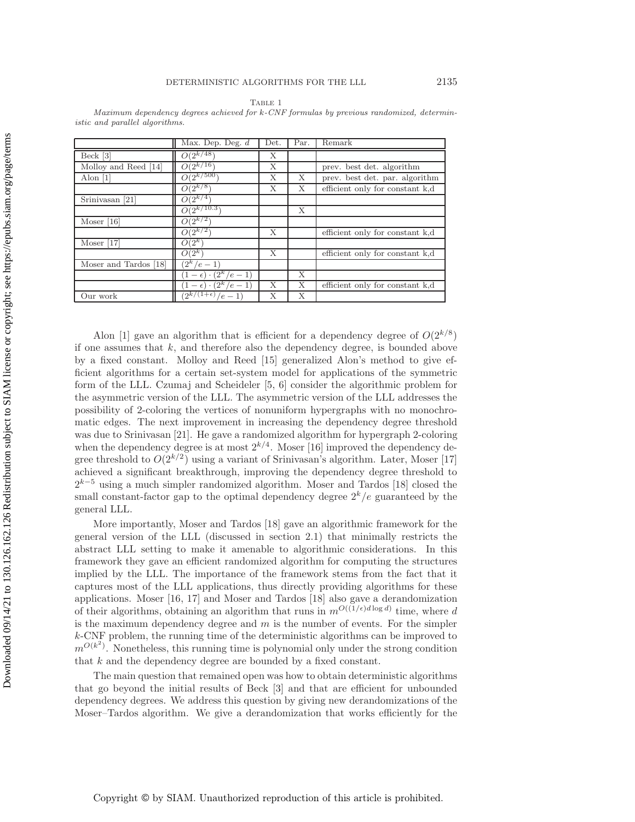Table 1

Maximum dependency degrees achieved for k-CNF formulas by previous randomized, deterministic and parallel algorithms.

|                       | Max. Dep. Deg. $d$                | Det. | Par. | Remark                          |
|-----------------------|-----------------------------------|------|------|---------------------------------|
| Beck $[3]$            | $O(2^{k/48})$                     | X    |      |                                 |
| Molloy and Reed [14]  | $O(2^{k/16})$                     | X    |      | prev. best det. algorithm       |
| Alon $[1]$            | $O(2^{k/500})$                    | Х    | Х    | prev. best det. par. algorithm  |
|                       | $O(2^{k/8})$                      | X    | X    | efficient only for constant k,d |
| Srinivasan [21]       | $O(2^{k/4})$                      |      |      |                                 |
|                       | $O(2^{k/10.3})$                   |      | Х    |                                 |
| Moser $[16]$          | $O(2^{k/2})$                      |      |      |                                 |
|                       | $O(2^{k/2})$                      | X    |      | efficient only for constant k,d |
| Moser $[17]$          | $(2^k)$<br>O                      |      |      |                                 |
|                       | $O(2^k)$                          | X    |      | efficient only for constant k,d |
| Moser and Tardos [18] | $(2^k/e-1)$                       |      |      |                                 |
|                       | $(1-\epsilon)\cdot(2^k/e-1)$      |      | X    |                                 |
|                       | $(2^k/e-1)$<br>$1-\epsilon$ ).    | X    | X    | efficient only for constant k,d |
| Our work              | $(2^{k/(1+\epsilon)})$<br>$(e-1)$ | X    | X    |                                 |

Alon [1] gave an algorithm that is efficient for a dependency degree of  $O(2^{k/8})$ if one assumes that  $k$ , and therefore also the dependency degree, is bounded above by a fixed constant. Molloy and Reed [15] generalized Alon's method to give efficient algorithms for a certain set-system model for applications of the symmetric form of the LLL. Czumaj and Scheideler [5, 6] consider the algorithmic problem for the asymmetric version of the LLL. The asymmetric version of the LLL addresses the possibility of 2-coloring the vertices of nonuniform hypergraphs with no monochromatic edges. The next improvement in increasing the dependency degree threshold was due to Srinivasan [21]. He gave a randomized algorithm for hypergraph 2-coloring when the dependency degree is at most  $2^{k/4}$ . Moser [16] improved the dependency degree threshold to  $O(2^{k/2})$  using a variant of Srinivasan's algorithm. Later, Moser [17] achieved a significant breakthrough, improving the dependency degree threshold to  $2^{k-5}$  using a much simpler randomized algorithm. Moser and Tardos [18] closed the small constant-factor gap to the optimal dependency degree  $2^k/e$  guaranteed by the general LLL.

More importantly, Moser and Tardos [18] gave an algorithmic framework for the general version of the LLL (discussed in section 2.1) that minimally restricts the abstract LLL setting to make it amenable to algorithmic considerations. In this framework they gave an efficient randomized algorithm for computing the structures implied by the LLL. The importance of the framework stems from the fact that it captures most of the LLL applications, thus directly providing algorithms for these applications. Moser [16, 17] and Moser and Tardos [18] also gave a derandomization of their algorithms, obtaining an algorithm that runs in  $m^{O((1/\epsilon)d \log d)}$  time, where d is the maximum dependency degree and  $m$  is the number of events. For the simpler k-CNF problem, the running time of the deterministic algorithms can be improved to  $m^{O(k^2)}$ . Nonetheless, this running time is polynomial only under the strong condition that k and the dependency degree are bounded by a fixed constant.

The main question that remained open was how to obtain deterministic algorithms that go beyond the initial results of Beck [3] and that are efficient for unbounded dependency degrees. We address this question by giving new derandomizations of the Moser–Tardos algorithm. We give a derandomization that works efficiently for the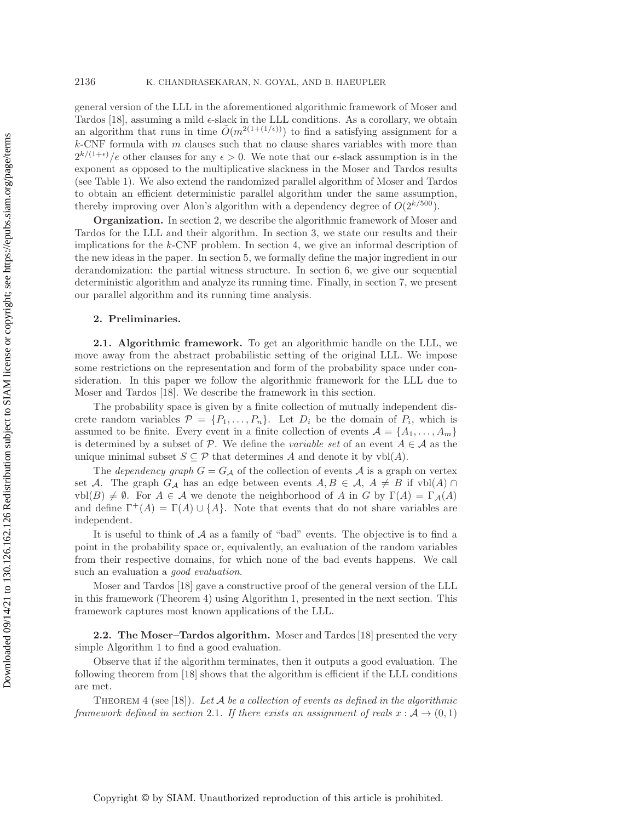general version of the LLL in the aforementioned algorithmic framework of Moser and Tardos [18], assuming a mild  $\epsilon$ -slack in the LLL conditions. As a corollary, we obtain an algorithm that runs in time  $\tilde{O}(m^{2(1+(1/\epsilon))})$  to find a satisfying assignment for a  $k$ -CNF formula with m clauses such that no clause shares variables with more than  $2^{k/(1+\epsilon)}/e$  other clauses for any  $\epsilon > 0$ . We note that our  $\epsilon$ -slack assumption is in the exponent as opposed to the multiplicative slackness in the Moser and Tardos results (see Table 1). We also extend the randomized parallel algorithm of Moser and Tardos to obtain an efficient deterministic parallel algorithm under the same assumption, thereby improving over Alon's algorithm with a dependency degree of  $O(2^{k/500})$ .

**Organization.** In section 2, we describe the algorithmic framework of Moser and Tardos for the LLL and their algorithm. In section 3, we state our results and their implications for the k-CNF problem. In section 4, we give an informal description of the new ideas in the paper. In section 5, we formally define the major ingredient in our derandomization: the partial witness structure. In section 6, we give our sequential deterministic algorithm and analyze its running time. Finally, in section 7, we present our parallel algorithm and its running time analysis.

## **2. Preliminaries.**

**2.1. Algorithmic framework.** To get an algorithmic handle on the LLL, we move away from the abstract probabilistic setting of the original LLL. We impose some restrictions on the representation and form of the probability space under consideration. In this paper we follow the algorithmic framework for the LLL due to Moser and Tardos [18]. We describe the framework in this section.

The probability space is given by a finite collection of mutually independent discrete random variables  $\mathcal{P} = \{P_1, \ldots, P_n\}$ . Let  $D_i$  be the domain of  $P_i$ , which is assumed to be finite. Every event in a finite collection of events  $\mathcal{A} = \{A_1, \ldots, A_m\}$ is determined by a subset of  $P$ . We define the *variable set* of an event  $A \in \mathcal{A}$  as the unique minimal subset  $S \subseteq \mathcal{P}$  that determines A and denote it by vbl(A).

The *dependency graph*  $G = G_A$  of the collection of events A is a graph on vertex set A. The graph  $G_A$  has an edge between events  $A, B \in \mathcal{A}, A \neq B$  if vbl $(A) \cap$  $vbl(B) \neq \emptyset$ . For  $A \in \mathcal{A}$  we denote the neighborhood of A in G by  $\Gamma(A) = \Gamma_{\mathcal{A}}(A)$ and define  $\Gamma^+(A) = \Gamma(A) \cup \{A\}$ . Note that events that do not share variables are independent.

It is useful to think of  $A$  as a family of "bad" events. The objective is to find a point in the probability space or, equivalently, an evaluation of the random variables from their respective domains, for which none of the bad events happens. We call such an evaluation a *good evaluation*.

Moser and Tardos [18] gave a constructive proof of the general version of the LLL in this framework (Theorem 4) using Algorithm 1, presented in the next section. This framework captures most known applications of the LLL.

**2.2. The Moser–Tardos algorithm.** Moser and Tardos [18] presented the very simple Algorithm 1 to find a good evaluation.

Observe that if the algorithm terminates, then it outputs a good evaluation. The following theorem from [18] shows that the algorithm is efficient if the LLL conditions are met.

Theorem 4 (see [18]). *Let* A *be a collection of events as defined in the algorithmic framework defined in section* 2.1*. If there exists an assignment of reals*  $x : A \rightarrow (0,1)$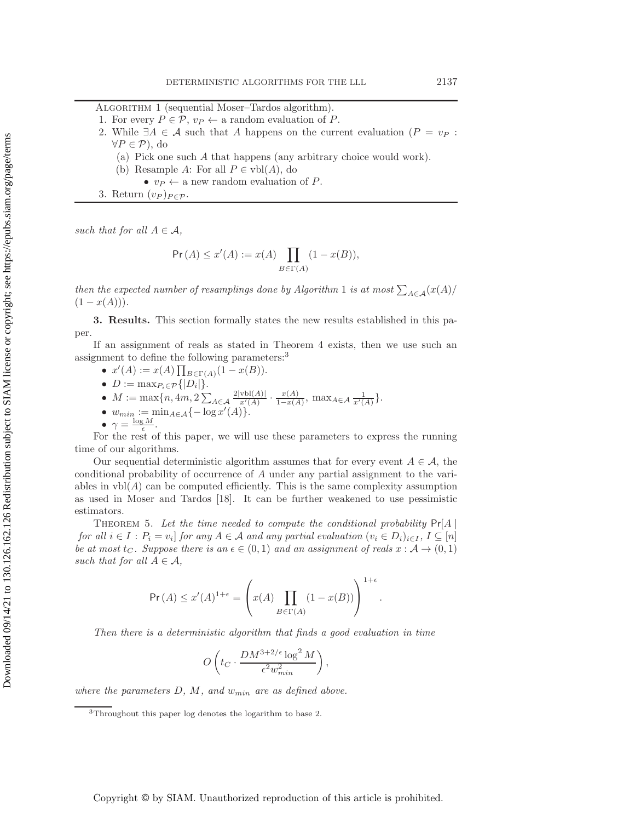Algorithm 1 (sequential Moser–Tardos algorithm).

- 1. For every  $P \in \mathcal{P}$ ,  $v_P \leftarrow$  a random evaluation of P.
- 2. While  $\exists A \in \mathcal{A}$  such that A happens on the current evaluation  $(P = v_P :$  $\forall P \in \mathcal{P}$ , do
	- (a) Pick one such A that happens (any arbitrary choice would work).
	- (b) Resample A: For all  $P \in vbl(A)$ , do
		- $v_P \leftarrow$  a new random evaluation of P.
- 3. Return  $(v_P)_{P \in \mathcal{P}}$ .

*such that for all*  $A \in \mathcal{A}$ *,* 

$$
\Pr(A) \le x'(A) := x(A) \prod_{B \in \Gamma(A)} (1 - x(B)),
$$

*then the expected number of resamplings done by Algorithm* 1 *is at most*  $\sum_{A \in \mathcal{A}} (x(A))$  $(1 - x(A))).$ 

**3. Results.** This section formally states the new results established in this paper.

If an assignment of reals as stated in Theorem 4 exists, then we use such an assignment to define the following parameters:<sup>3</sup>

- $x'(A) := x(A) \prod_{B \in \Gamma(A)} (1 x(B)).$
- $D := \max_{P_i \in \mathcal{P}} \{|D_i|\}.$
- $M := \max\{n, 4m, 2 \sum_{A \in \mathcal{A}} \frac{2|\text{vbl}(A)|}{x'(A)} \cdot \frac{x(A)}{1-x(A)}, \max_{A \in \mathcal{A}} \frac{1}{x'(A)}\}.$
- $w_{min} := \min_{A \in \mathcal{A}} \{-\log x'(A)\}.$

• 
$$
\gamma = \frac{\log M}{\epsilon}.
$$

 $\bullet \gamma = \frac{\epsilon}{\epsilon}$ .<br>For the rest of this paper, we will use these parameters to express the running time of our algorithms.

Our sequential deterministic algorithm assumes that for every event  $A \in \mathcal{A}$ , the conditional probability of occurrence of A under any partial assignment to the variables in  $vbl(A)$  can be computed efficiently. This is the same complexity assumption as used in Moser and Tardos [18]. It can be further weakened to use pessimistic estimators.

THEOREM 5. Let the time needed to compute the conditional probability  $Pr[A]$ *for all*  $i \in I : P_i = v_i$  *for any*  $A \in \mathcal{A}$  *and any partial evaluation*  $(v_i \in D_i)_{i \in I}$ ,  $I \subseteq [n]$ *be at most*  $t_C$ *. Suppose there is an*  $\epsilon \in (0,1)$  *and an assignment of reals*  $x : A \rightarrow (0,1)$ *such that for all*  $A \in \mathcal{A}$ *,* 

$$
\Pr(A) \le x'(A)^{1+\epsilon} = \left(x(A) \prod_{B \in \Gamma(A)} (1 - x(B))\right)^{1+\epsilon}
$$

.

*Then there is a deterministic algorithm that finds a good evaluation in time*

$$
O\left(t_C \cdot \frac{DM^{3+2/\epsilon} \log^2 M}{\epsilon^2 w_{min}^2}\right),\,
$$

*where the parameters*  $D$ *,*  $M$ *, and*  $w_{min}$  *are as defined above.* 

<sup>3</sup>Throughout this paper log denotes the logarithm to base 2.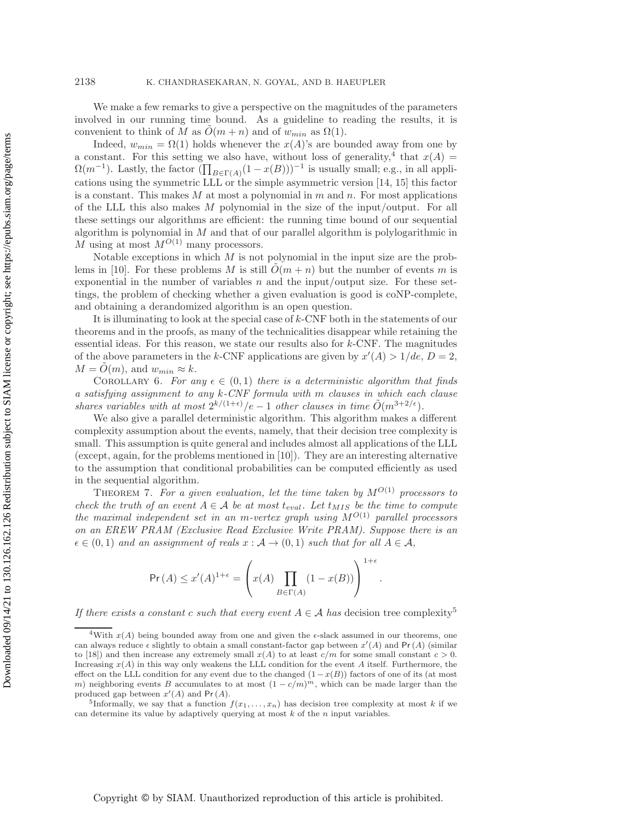We make a few remarks to give a perspective on the magnitudes of the parameters involved in our running time bound. As a guideline to reading the results, it is convenient to think of M as  $O(m + n)$  and of  $w_{min}$  as  $\Omega(1)$ .

Indeed,  $w_{min} = \Omega(1)$  holds whenever the  $x(A)$ 's are bounded away from one by a constant. For this setting we also have, without loss of generality,<sup>4</sup> that  $x(A)$  =  $\Omega(m^{-1})$ . Lastly, the factor  $(\prod_{B \in \Gamma(A)} (1 - x(B)))^{-1}$  is usually small; e.g., in all appli-<br>certions using the summatric LLL or the simple esymmetric version [14, 15] this fector cations using the symmetric LLL or the simple asymmetric version [14, 15] this factor is a constant. This makes  $M$  at most a polynomial in  $m$  and  $n$ . For most applications of the LLL this also makes  $M$  polynomial in the size of the input/output. For all these settings our algorithms are efficient: the running time bound of our sequential algorithm is polynomial in  $M$  and that of our parallel algorithm is polylogarithmic in M using at most  $M^{O(1)}$  many processors.

Notable exceptions in which  $M$  is not polynomial in the input size are the problems in [10]. For these problems M is still  $\tilde{O}(m + n)$  but the number of events m is exponential in the number of variables  $n$  and the input/output size. For these settings, the problem of checking whether a given evaluation is good is coNP-complete, and obtaining a derandomized algorithm is an open question.

It is illuminating to look at the special case of  $k$ -CNF both in the statements of our theorems and in the proofs, as many of the technicalities disappear while retaining the essential ideas. For this reason, we state our results also for k-CNF. The magnitudes of the above parameters in the k-CNF applications are given by  $x'(A) > 1/de, D = 2$ ,  $M = O(m)$ , and  $w_{min} \approx k$ .

COROLLARY 6. For any  $\epsilon \in (0,1)$  there is a deterministic algorithm that finds *a satisfying assignment to any* k*-CNF formula with* m *clauses in which each clause shares variables with at most*  $2^{k/(1+\epsilon)}/e - 1$  *other clauses in time*  $\tilde{O}(m^{3+2/\epsilon})$ *.* 

We also give a parallel deterministic algorithm. This algorithm makes a different complexity assumption about the events, namely, that their decision tree complexity is small. This assumption is quite general and includes almost all applications of the LLL (except, again, for the problems mentioned in [10]). They are an interesting alternative to the assumption that conditional probabilities can be computed efficiently as used in the sequential algorithm.

THEOREM 7. For a given evaluation, let the time taken by  $M^{O(1)}$  processors to *check the truth of an event*  $A \in \mathcal{A}$  *be at most t<sub>eval</sub>. Let*  $t_{MIS}$  *be the time to compute the maximal independent set in an* m*-vertex graph using* M<sup>O</sup>(1) *parallel processors on an EREW PRAM (Exclusive Read Exclusive Write PRAM). Suppose there is an*  $\epsilon \in (0,1)$  and an assignment of reals  $x : A \to (0,1)$  such that for all  $A \in \mathcal{A}$ ,

$$
\Pr(A) \le x'(A)^{1+\epsilon} = \left(x(A) \prod_{B \in \Gamma(A)} (1 - x(B))\right)^{1+\epsilon}
$$

.

*If there exists a constant c such that every event*  $A \in \mathcal{A}$  *has* decision tree complexity<sup>5</sup>

<sup>&</sup>lt;sup>4</sup>With  $x(A)$  being bounded away from one and given the  $\epsilon$ -slack assumed in our theorems, one can always reduce  $\epsilon$  slightly to obtain a small constant-factor gap between  $x'(A)$  and Pr(A) (similar to [18]) and then increase any extremely small  $x(A)$  to at least  $c/m$  for some small constant  $c > 0$ . Increasing  $x(A)$  in this way only weakens the LLL condition for the event A itself. Furthermore, the effect on the LLL condition for any event due to the changed  $(1 - x(B))$  factors of one of its (at most m) neighboring events B accumulates to at most  $(1 - c/m)^m$ , which can be made larger than the produced gap between  $x'(A)$  and  $Pr(A)$ .

<sup>&</sup>lt;sup>5</sup>Informally, we say that a function  $f(x_1,...,x_n)$  has decision tree complexity at most k if we can determine its value by adaptively querying at most  $k$  of the  $n$  input variables.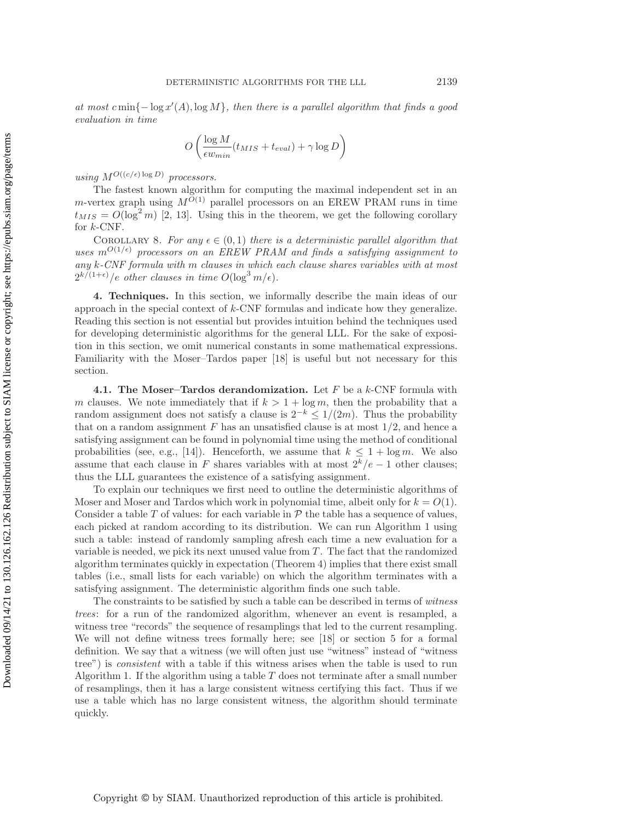$$
O\left(\frac{\log M}{\epsilon w_{min}}(t_{MIS} + t_{eval}) + \gamma \log D\right)
$$

 $using\ M^{O((c/\epsilon)\log D)}\ process$ ors.

The fastest known algorithm for computing the maximal independent set in an m-vertex graph using  $M^{O(1)}$  parallel processors on an EREW PRAM runs in time  $t_{MIS} = O(\log^2 m)$  [2, 13]. Using this in the theorem, we get the following corollary for k-CNF.

COROLLARY 8. For any  $\epsilon \in (0,1)$  there is a deterministic parallel algorithm that uses  $m^{O(1/\epsilon)}$  processors on an EREW PRAM and finds a satisfying assignment to *any* k*-CNF formula with* m *clauses in which each clause shares variables with at most*  $2^{k/(1+\epsilon)}/e$  other clauses in time  $O(\log^3 m/\epsilon)$ .

**4. Techniques.** In this section, we informally describe the main ideas of our approach in the special context of  $k$ -CNF formulas and indicate how they generalize. Reading this section is not essential but provides intuition behind the techniques used for developing deterministic algorithms for the general LLL. For the sake of exposition in this section, we omit numerical constants in some mathematical expressions. Familiarity with the Moser–Tardos paper [18] is useful but not necessary for this section.

**4.1. The Moser–Tardos derandomization.** Let F be a k-CNF formula with m clauses. We note immediately that if  $k > 1 + \log m$ , then the probability that a random assignment does not satisfy a clause is  $2^{-k} \leq 1/(2m)$ . Thus the probability that on a random assignment  $F$  has an unsatisfied clause is at most  $1/2$ , and hence a satisfying assignment can be found in polynomial time using the method of conditional probabilities (see, e.g., [14]). Henceforth, we assume that  $k \leq 1 + \log m$ . We also assume that each clause in F shares variables with at most  $2^k/e - 1$  other clauses; thus the LLL guarantees the existence of a satisfying assignment.

To explain our techniques we first need to outline the deterministic algorithms of Moser and Moser and Tardos which work in polynomial time, albeit only for  $k = O(1)$ . Consider a table  $T$  of values: for each variable in  $P$  the table has a sequence of values, each picked at random according to its distribution. We can run Algorithm 1 using such a table: instead of randomly sampling afresh each time a new evaluation for a variable is needed, we pick its next unused value from  $T$ . The fact that the randomized algorithm terminates quickly in expectation (Theorem 4) implies that there exist small tables (i.e., small lists for each variable) on which the algorithm terminates with a satisfying assignment. The deterministic algorithm finds one such table.

The constraints to be satisfied by such a table can be described in terms of *witness trees*: for a run of the randomized algorithm, whenever an event is resampled, a witness tree "records" the sequence of resamplings that led to the current resampling. We will not define witness trees formally here; see [18] or section 5 for a formal definition. We say that a witness (we will often just use "witness" instead of "witness tree") is *consistent* with a table if this witness arises when the table is used to run Algorithm 1. If the algorithm using a table  $T$  does not terminate after a small number of resamplings, then it has a large consistent witness certifying this fact. Thus if we use a table which has no large consistent witness, the algorithm should terminate quickly.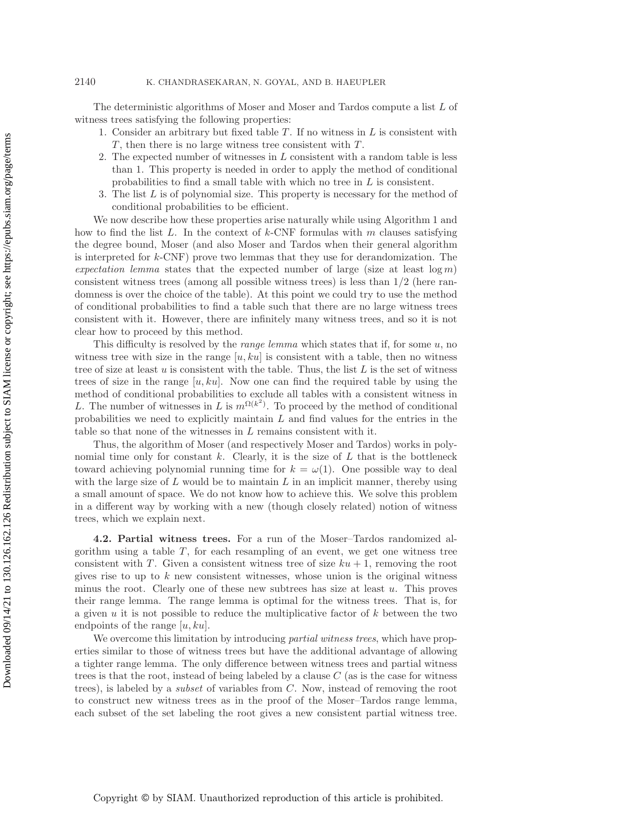The deterministic algorithms of Moser and Moser and Tardos compute a list L of witness trees satisfying the following properties:

- 1. Consider an arbitrary but fixed table  $T$ . If no witness in  $L$  is consistent with T, then there is no large witness tree consistent with  $T$ .
- 2. The expected number of witnesses in L consistent with a random table is less than 1. This property is needed in order to apply the method of conditional probabilities to find a small table with which no tree in L is consistent.
- 3. The list L is of polynomial size. This property is necessary for the method of conditional probabilities to be efficient.

We now describe how these properties arise naturally while using Algorithm 1 and how to find the list L. In the context of  $k$ -CNF formulas with m clauses satisfying the degree bound, Moser (and also Moser and Tardos when their general algorithm is interpreted for  $k$ -CNF) prove two lemmas that they use for derandomization. The *expectation lemma* states that the expected number of large (size at least  $log m$ ) consistent witness trees (among all possible witness trees) is less than 1/2 (here randomness is over the choice of the table). At this point we could try to use the method of conditional probabilities to find a table such that there are no large witness trees consistent with it. However, there are infinitely many witness trees, and so it is not clear how to proceed by this method.

This difficulty is resolved by the *range lemma* which states that if, for some u, no witness tree with size in the range  $[u, ku]$  is consistent with a table, then no witness tree of size at least  $u$  is consistent with the table. Thus, the list  $L$  is the set of witness trees of size in the range  $[u, ku]$ . Now one can find the required table by using the method of conditional probabilities to exclude all tables with a consistent witness in L. The number of witnesses in L is  $m^{\Omega(k^2)}$ . To proceed by the method of conditional probabilities we need to explicitly maintain  $L$  and find values for the entries in the table so that none of the witnesses in L remains consistent with it.

Thus, the algorithm of Moser (and respectively Moser and Tardos) works in polynomial time only for constant k. Clearly, it is the size of  $L$  that is the bottleneck toward achieving polynomial running time for  $k = \omega(1)$ . One possible way to deal with the large size of  $L$  would be to maintain  $L$  in an implicit manner, thereby using a small amount of space. We do not know how to achieve this. We solve this problem in a different way by working with a new (though closely related) notion of witness trees, which we explain next.

**4.2. Partial witness trees.** For a run of the Moser–Tardos randomized algorithm using a table  $T$ , for each resampling of an event, we get one witness tree consistent with T. Given a consistent witness tree of size  $ku + 1$ , removing the root gives rise to up to  $k$  new consistent witnesses, whose union is the original witness minus the root. Clearly one of these new subtrees has size at least  $u$ . This proves their range lemma. The range lemma is optimal for the witness trees. That is, for a given  $u$  it is not possible to reduce the multiplicative factor of  $k$  between the two endpoints of the range  $[u, ku]$ .

We overcome this limitation by introducing *partial witness trees*, which have properties similar to those of witness trees but have the additional advantage of allowing a tighter range lemma. The only difference between witness trees and partial witness trees is that the root, instead of being labeled by a clause  $C$  (as is the case for witness trees), is labeled by a *subset* of variables from C. Now, instead of removing the root to construct new witness trees as in the proof of the Moser–Tardos range lemma, each subset of the set labeling the root gives a new consistent partial witness tree.

Downloaded 09/14/21 to 130.126.162.126 Redistribution subject to SIAM license or copyright; see https://epubs.siam.org/page/terms Downloaded 09/14/21 to 130.126.162.126 Redistribution subject to SIAM license or copyright; see https://epubs.siam.org/page/terms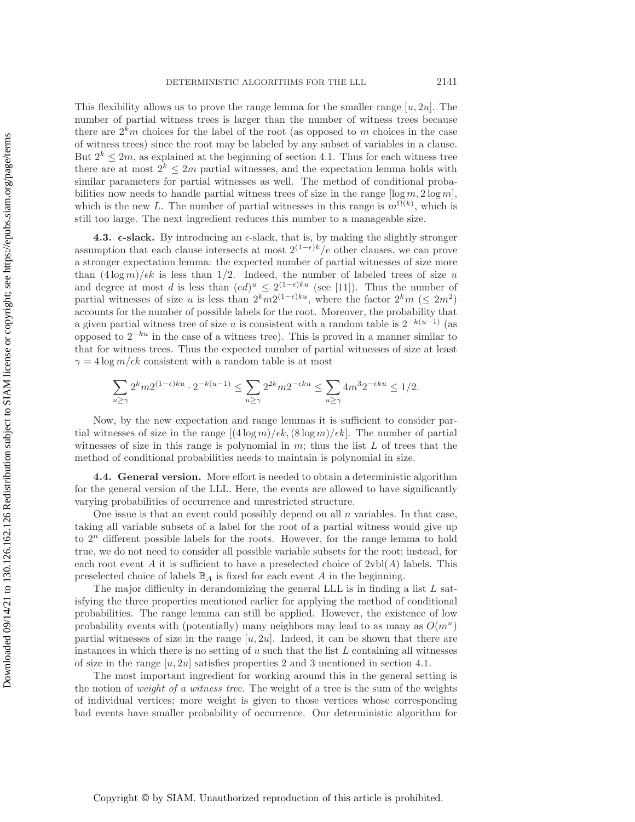This flexibility allows us to prove the range lemma for the smaller range  $[u, 2u]$ . The number of partial witness trees is larger than the number of witness trees because there are  $2<sup>k</sup>m$  choices for the label of the root (as opposed to m choices in the case of witness trees) since the root may be labeled by any subset of variables in a clause. But  $2^k \leq 2m$ , as explained at the beginning of section 4.1. Thus for each witness tree there are at most  $2^k \leq 2m$  partial witnesses, and the expectation lemma holds with similar parameters for partial witnesses as well. The method of conditional probabilities now needs to handle partial witness trees of size in the range  $[\log m, 2 \log m]$ , which is the new L. The number of partial witnesses in this range is  $m^{\Omega(k)}$ , which is still too large. The next ingredient reduces this number to a manageable size.

4.3.  $\epsilon$ -slack. By introducing an  $\epsilon$ -slack, that is, by making the slightly stronger assumption that each clause intersects at most  $2^{(1-\epsilon)k}/e$  other clauses, we can prove a stronger expectation lemma: the expected number of partial witnesses of size more than  $(4\log m)/\epsilon k$  is less than 1/2. Indeed, the number of labeled trees of size u and degree at most d is less than  $(ed)^u \leq 2^{(1-\epsilon)ku}$  (see [11]). Thus the number of partial witnesses of size u is less than  $2^k m 2^{(1-\epsilon)ku}$ , where the factor  $2^k m \ (\leq 2m^2)$ accounts for the number of possible labels for the root. Moreover, the probability that a given partial witness tree of size u is consistent with a random table is  $2^{-k(u-1)}$  (as opposed to  $2^{-ku}$  in the case of a witness tree). This is proved in a manner similar to that for witness trees. Thus the expected number of partial witnesses of size at least  $\gamma = 4 \log m / \epsilon k$  consistent with a random table is at most

$$
\sum_{u\geq \gamma} 2^k m 2^{(1-\epsilon)ku} \cdot 2^{-k(u-1)} \leq \sum_{u\geq \gamma} 2^{2k} m 2^{-\epsilon ku} \leq \sum_{u\geq \gamma} 4m^3 2^{-\epsilon ku} \leq 1/2.
$$

Now, by the new expectation and range lemmas it is sufficient to consider partial witnesses of size in the range  $[(4 \log m)/\epsilon k, (8 \log m)/\epsilon k]$ . The number of partial witnesses of size in this range is polynomial in  $m$ ; thus the list  $L$  of trees that the method of conditional probabilities needs to maintain is polynomial in size.

**4.4. General version.** More effort is needed to obtain a deterministic algorithm for the general version of the LLL. Here, the events are allowed to have significantly varying probabilities of occurrence and unrestricted structure.

One issue is that an event could possibly depend on all  $n$  variables. In that case, taking all variable subsets of a label for the root of a partial witness would give up to  $2^n$  different possible labels for the roots. However, for the range lemma to hold true, we do not need to consider all possible variable subsets for the root; instead, for each root event A it is sufficient to have a preselected choice of  $2vbl(A)$  labels. This preselected choice of labels  $\mathbb{B}_A$  is fixed for each event A in the beginning.

The major difficulty in derandomizing the general LLL is in finding a list  $L$  satisfying the three properties mentioned earlier for applying the method of conditional probabilities. The range lemma can still be applied. However, the existence of low probability events with (potentially) many neighbors may lead to as many as  $O(m^u)$ partial witnesses of size in the range  $[u, 2u]$ . Indeed, it can be shown that there are instances in which there is no setting of  $u$  such that the list  $L$  containing all witnesses of size in the range  $[u, 2u]$  satisfies properties 2 and 3 mentioned in section 4.1.

The most important ingredient for working around this in the general setting is the notion of *weight of a witness tree*. The weight of a tree is the sum of the weights of individual vertices; more weight is given to those vertices whose corresponding bad events have smaller probability of occurrence. Our deterministic algorithm for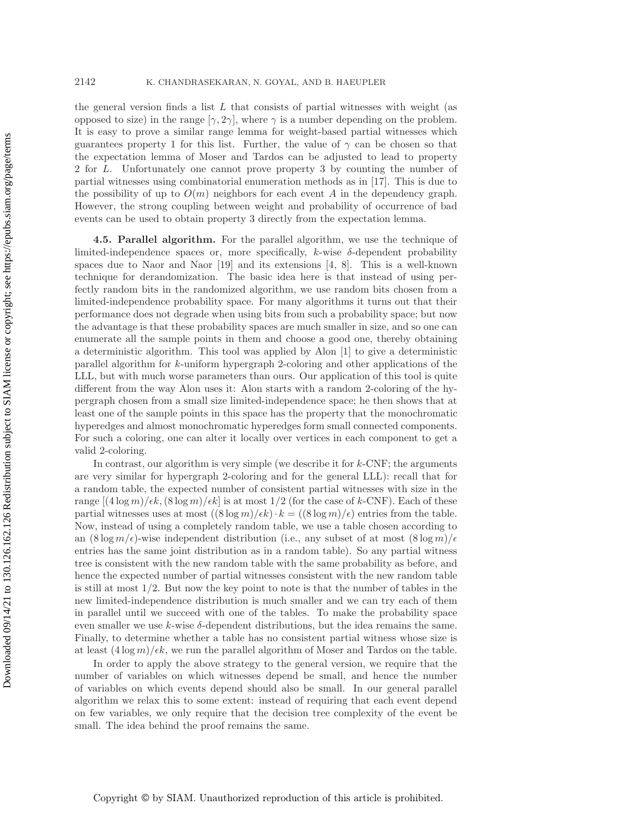the general version finds a list  $L$  that consists of partial witnesses with weight (as opposed to size) in the range  $[\gamma, 2\gamma]$ , where  $\gamma$  is a number depending on the problem. It is easy to prove a similar range lemma for weight-based partial witnesses which guarantees property 1 for this list. Further, the value of  $\gamma$  can be chosen so that the expectation lemma of Moser and Tardos can be adjusted to lead to property 2 for L. Unfortunately one cannot prove property 3 by counting the number of partial witnesses using combinatorial enumeration methods as in [17]. This is due to the possibility of up to  $O(m)$  neighbors for each event A in the dependency graph. However, the strong coupling between weight and probability of occurrence of bad events can be used to obtain property 3 directly from the expectation lemma.

**4.5. Parallel algorithm.** For the parallel algorithm, we use the technique of limited-independence spaces or, more specifically, k-wise  $\delta$ -dependent probability spaces due to Naor and Naor [19] and its extensions [4, 8]. This is a well-known technique for derandomization. The basic idea here is that instead of using perfectly random bits in the randomized algorithm, we use random bits chosen from a limited-independence probability space. For many algorithms it turns out that their performance does not degrade when using bits from such a probability space; but now the advantage is that these probability spaces are much smaller in size, and so one can enumerate all the sample points in them and choose a good one, thereby obtaining a deterministic algorithm. This tool was applied by Alon [1] to give a deterministic parallel algorithm for k-uniform hypergraph 2-coloring and other applications of the LLL, but with much worse parameters than ours. Our application of this tool is quite different from the way Alon uses it: Alon starts with a random 2-coloring of the hypergraph chosen from a small size limited-independence space; he then shows that at least one of the sample points in this space has the property that the monochromatic hyperedges and almost monochromatic hyperedges form small connected components. For such a coloring, one can alter it locally over vertices in each component to get a valid 2-coloring.

In contrast, our algorithm is very simple (we describe it for  $k$ -CNF; the arguments are very similar for hypergraph 2-coloring and for the general LLL): recall that for a random table, the expected number of consistent partial witnesses with size in the range  $[(4\log m)/\epsilon k, (8\log m)/\epsilon k]$  is at most 1/2 (for the case of k-CNF). Each of these partial witnesses uses at most  $((8 \log m)/\epsilon k) \cdot k = ((8 \log m)/\epsilon)$  entries from the table. Now, instead of using a completely random table, we use a table chosen according to an  $(8 \log m/\epsilon)$ -wise independent distribution (i.e., any subset of at most  $(8 \log m)/\epsilon$ entries has the same joint distribution as in a random table). So any partial witness tree is consistent with the new random table with the same probability as before, and hence the expected number of partial witnesses consistent with the new random table is still at most  $1/2$ . But now the key point to note is that the number of tables in the new limited-independence distribution is much smaller and we can try each of them in parallel until we succeed with one of the tables. To make the probability space even smaller we use  $k$ -wise  $\delta$ -dependent distributions, but the idea remains the same. Finally, to determine whether a table has no consistent partial witness whose size is at least  $(4\log m)/\epsilon k$ , we run the parallel algorithm of Moser and Tardos on the table.

In order to apply the above strategy to the general version, we require that the number of variables on which witnesses depend be small, and hence the number of variables on which events depend should also be small. In our general parallel algorithm we relax this to some extent: instead of requiring that each event depend on few variables, we only require that the decision tree complexity of the event be small. The idea behind the proof remains the same.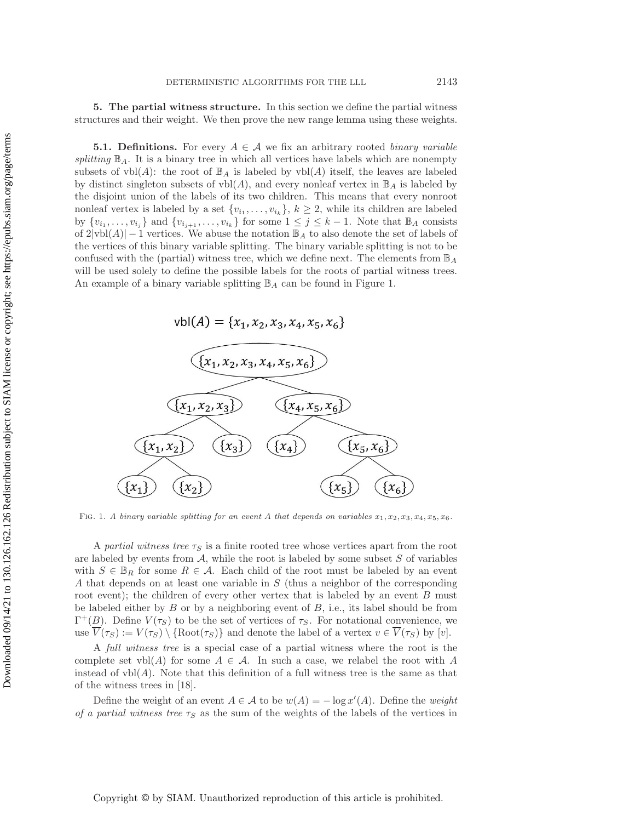**5. The partial witness structure.** In this section we define the partial witness structures and their weight. We then prove the new range lemma using these weights.

**5.1. Definitions.** For every  $A \in \mathcal{A}$  we fix an arbitrary rooted *binary variable splitting*  $\mathbb{B}_A$ . It is a binary tree in which all vertices have labels which are nonempty subsets of vbl $(A)$ : the root of  $\mathbb{B}_A$  is labeled by vbl $(A)$  itself, the leaves are labeled by distinct singleton subsets of  $vbl(A)$ , and every nonleaf vertex in  $\mathbb{B}_A$  is labeled by the disjoint union of the labels of its two children. This means that every nonroot nonleaf vertex is labeled by a set  $\{v_{i_1}, \ldots, v_{i_k}\}, k \geq 2$ , while its children are labeled by  $\{v_{i_1},\ldots,v_{i_j}\}\$  and  $\{v_{i_{j+1}},\ldots,v_{i_k}\}\$  for some  $1 \leq j \leq k-1$ . Note that  $\mathbb{B}_A$  consists of  $2|\text{vbl}(A)| - 1$  vertices. We abuse the notation  $\mathbb{B}_A$  to also denote the set of labels of the vertices of this binary variable splitting. The binary variable splitting is not to be confused with the (partial) witness tree, which we define next. The elements from  $\mathbb{B}_A$ will be used solely to define the possible labels for the roots of partial witness trees. An example of a binary variable splitting  $\mathbb{B}_A$  can be found in Figure 1.



FIG. 1. A binary variable splitting for an event A that depends on variables  $x_1, x_2, x_3, x_4, x_5, x_6$ .

 $\{x_5\}$ 

 $\{x_6\}$ 

 $\{x_1\}$ 

 $\{x_2\}$ 

A *partial witness tree*  $\tau_S$  is a finite rooted tree whose vertices apart from the root are labeled by events from  $A$ , while the root is labeled by some subset  $S$  of variables with  $S \in \mathbb{B}_R$  for some  $R \in \mathcal{A}$ . Each child of the root must be labeled by an event A that depends on at least one variable in S (thus a neighbor of the corresponding root event); the children of every other vertex that is labeled by an event  $B$  must be labeled either by  $B$  or by a neighboring event of  $B$ , i.e., its label should be from  $\Gamma^+(B)$ . Define  $V(\tau_S)$  to be the set of vertices of  $\tau_S$ . For notational convenience, we use  $\overline{V}(\tau_S) := V(\tau_S) \setminus {\text{Root}(\tau_S)}$  and denote the label of a vertex  $v \in \overline{V}(\tau_S)$  by [v].

A *full witness tree* is a special case of a partial witness where the root is the complete set  $vbl(A)$  for some  $A \in \mathcal{A}$ . In such a case, we relabel the root with A instead of  $vbl(A)$ . Note that this definition of a full witness tree is the same as that of the witness trees in [18].

Define the weight of an event  $A \in \mathcal{A}$  to be  $w(A) = -\log x'(A)$ . Define the *weight of a partial witness tree*  $\tau_s$  as the sum of the weights of the labels of the vertices in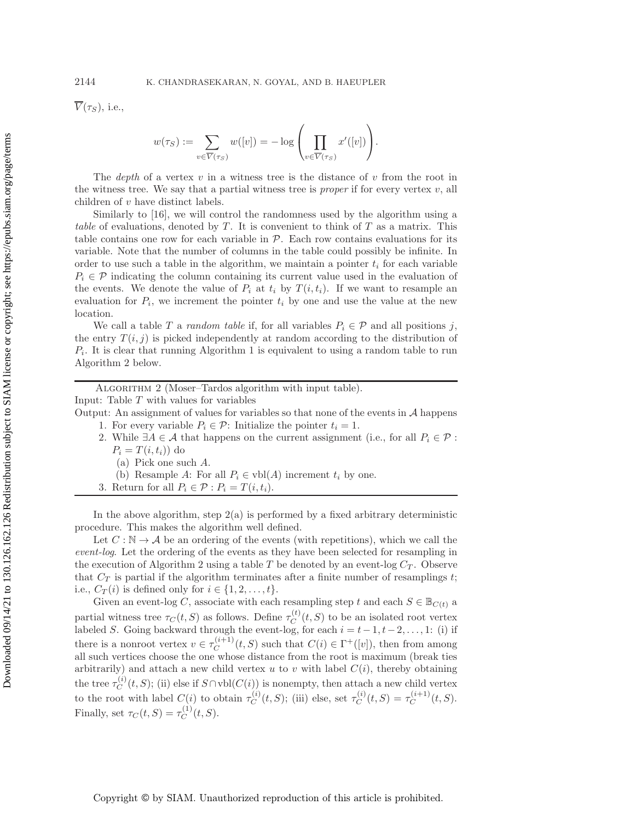$\overline{V}(\tau_S)$ , i.e.,

$$
w(\tau_S) := \sum_{v \in \overline{V}(\tau_S)} w([v]) = -\log \left( \prod_{v \in \overline{V}(\tau_S)} x'([v]) \right).
$$

The *depth* of a vertex v in a witness tree is the distance of v from the root in the witness tree. We say that a partial witness tree is *proper* if for every vertex v, all children of v have distinct labels.

Similarly to [16], we will control the randomness used by the algorithm using a *table* of evaluations, denoted by  $T$ . It is convenient to think of  $T$  as a matrix. This table contains one row for each variable in  $P$ . Each row contains evaluations for its variable. Note that the number of columns in the table could possibly be infinite. In order to use such a table in the algorithm, we maintain a pointer  $t_i$  for each variable  $P_i \in \mathcal{P}$  indicating the column containing its current value used in the evaluation of the events. We denote the value of  $P_i$  at  $t_i$  by  $T(i, t_i)$ . If we want to resample an evaluation for  $P_i$ , we increment the pointer  $t_i$  by one and use the value at the new location.

We call a table T a *random table* if, for all variables  $P_i \in \mathcal{P}$  and all positions j, the entry  $T(i, j)$  is picked independently at random according to the distribution of  $P_i$ . It is clear that running Algorithm 1 is equivalent to using a random table to run Algorithm 2 below.

Algorithm 2 (Moser–Tardos algorithm with input table).

Input: Table T with values for variables

Output: An assignment of values for variables so that none of the events in  $A$  happens 1. For every variable  $P_i \in \mathcal{P}$ : Initialize the pointer  $t_i = 1$ .

2. While  $\exists A \in \mathcal{A}$  that happens on the current assignment (i.e., for all  $P_i \in \mathcal{P}$ :  $P_i = T(i, t_i)$  do

(a) Pick one such A.

- (b) Resample A: For all  $P_i \in vbl(A)$  increment  $t_i$  by one.
- 3. Return for all  $P_i \in \mathcal{P} : P_i = T(i, t_i)$ .

In the above algorithm, step  $2(a)$  is performed by a fixed arbitrary deterministic procedure. This makes the algorithm well defined.

Let  $C : \mathbb{N} \to \mathcal{A}$  be an ordering of the events (with repetitions), which we call the *event-log*. Let the ordering of the events as they have been selected for resampling in the execution of Algorithm 2 using a table  $T$  be denoted by an event-log  $C_T$ . Observe that  $C_T$  is partial if the algorithm terminates after a finite number of resamplings t; i.e.,  $C_T(i)$  is defined only for  $i \in \{1, 2, \ldots, t\}.$ 

Given an event-log C, associate with each resampling step t and each  $S \in \mathbb{B}_{C(t)}$  a partial witness tree  $\tau_C(t, S)$  as follows. Define  $\tau_C^{(t)}(t, S)$  to be an isolated root vertex labeled S. Going backward through the event-log, for each  $i = t-1, t-2, \ldots, 1$ : (i) if there is a nonroot vertex  $v \in \tau_C^{(i+1)}(t, S)$  such that  $C(i) \in \Gamma^+([v])$ , then from among all such vertices choose the one whose distance from the root is maximum (break ties arbitrarily) and attach a new child vertex u to v with label  $C(i)$ , thereby obtaining the tree  $\tau_C^{(i)}(t, S)$ ; (ii) else if  $S \cap \text{vbl}(C(i))$  is nonempty, then attach a new child vertex to the root with label  $C(i)$  to obtain  $\tau_C^{(i)}(t, S)$ ; (iii) else, set  $\tau_C^{(i)}(t, S) = \tau_C^{(i+1)}(t, S)$ . Finally, set  $\tau_C(t, S) = \tau_C^{(1)}(t, S)$ .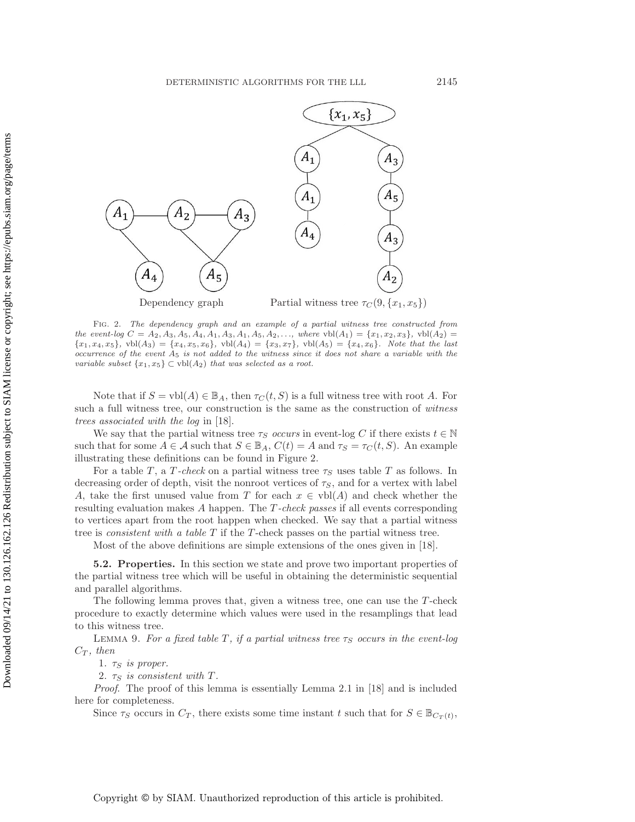

Fig. 2. The dependency graph and an example of a partial witness tree constructed from the event-log  $C = A_2, A_3, A_5, A_4, A_1, A_3, A_1, A_5, A_2, \ldots$ , where  $\text{vbl}(A_1) = \{x_1, x_2, x_3\}$ ,  $\text{vbl}(A_2) =$  ${x_1, x_4, x_5}$ ,  ${\text{vbl}}(A_3) = {x_4, x_5, x_6}$ ,  ${\text{vbl}}(A_4) = {x_3, x_7}$ ,  ${\text{vbl}}(A_5) = {x_4, x_6}$ . Note that the last occurrence of the event A<sup>5</sup> is not added to the witness since it does not share a variable with the variable subset  $\{x_1, x_5\} \subset \text{vbl}(A_2)$  that was selected as a root.

Note that if  $S = \text{vbl}(A) \in \mathbb{B}_A$ , then  $\tau_C(t, S)$  is a full witness tree with root A. For such a full witness tree, our construction is the same as the construction of *witness trees associated with the log* in [18].

We say that the partial witness tree  $\tau_S$  *occurs* in event-log C if there exists  $t \in \mathbb{N}$ such that for some  $A \in \mathcal{A}$  such that  $S \in \mathbb{B}_A$ ,  $C(t) = A$  and  $\tau_S = \tau_C(t, S)$ . An example illustrating these definitions can be found in Figure 2.

For a table T, a T-check on a partial witness tree  $\tau_S$  uses table T as follows. In decreasing order of depth, visit the nonroot vertices of  $\tau_s$ , and for a vertex with label A, take the first unused value from T for each  $x \in vbl(A)$  and check whether the resulting evaluation makes A happen. The T *-check passes* if all events corresponding to vertices apart from the root happen when checked. We say that a partial witness tree is *consistent with a table* T if the T -check passes on the partial witness tree.

Most of the above definitions are simple extensions of the ones given in [18].

**5.2. Properties.** In this section we state and prove two important properties of the partial witness tree which will be useful in obtaining the deterministic sequential and parallel algorithms.

The following lemma proves that, given a witness tree, one can use the T-check procedure to exactly determine which values were used in the resamplings that lead to this witness tree.

LEMMA 9. For a fixed table T, if a partial witness tree  $\tau_S$  occurs in the event-log  $C_T$ *, then* 

1.  $\tau_S$  *is proper.* 

2.  $\tau_s$  *is consistent with* T.

*Proof*. The proof of this lemma is essentially Lemma 2.1 in [18] and is included here for completeness.

Since  $\tau_S$  occurs in  $C_T$ , there exists some time instant t such that for  $S \in \mathbb{B}_{C_T(t)}$ ,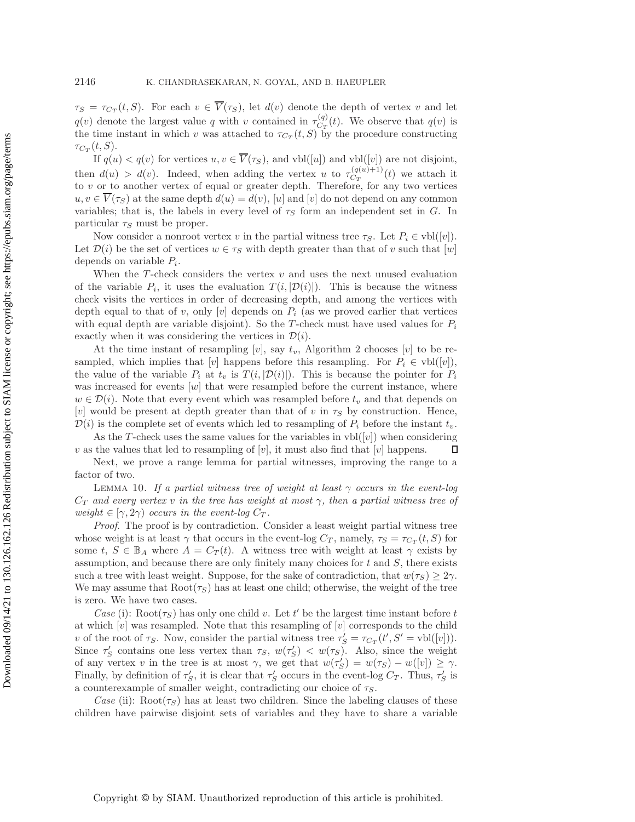$\tau_S = \tau_{C_T}(t, S)$ . For each  $v \in \overline{V}(\tau_S)$ , let  $d(v)$  denote the depth of vertex v and let  $q(v)$  denote the largest value q with v contained in  $\tau_{C_T}^{(q)}(t)$ . We observe that  $q(v)$  is the time instant in which v was attached to  $\tau_{C_T}(t, S)$  by the procedure constructing  $\tau_{C_T}(t, S)$ .

If  $q(u) < q(v)$  for vertices  $u, v \in \overline{V}(\tau_S)$ , and vbl $([u])$  and vbl $([v])$  are not disjoint, then  $d(u) > d(v)$ . Indeed, when adding the vertex u to  $\tau_{C_T}^{(q(u)+1)}(t)$  we attach it to  $v$  or to another vertex of equal or greater depth. Therefore, for any two vertices  $u, v \in \overline{V}(\tau_S)$  at the same depth  $d(u) = d(v)$ , [u] and [v] do not depend on any common variables; that is, the labels in every level of  $\tau_s$  form an independent set in G. In particular  $\tau_s$  must be proper.

Now consider a nonroot vertex v in the partial witness tree  $\tau_S$ . Let  $P_i \in \text{vbl}([v])$ . Let  $\mathcal{D}(i)$  be the set of vertices  $w \in \tau_S$  with depth greater than that of v such that  $[w]$ depends on variable  $P_i$ .

When the T-check considers the vertex  $v$  and uses the next unused evaluation of the variable  $P_i$ , it uses the evaluation  $T(i, |\mathcal{D}(i)|)$ . This is because the witness check visits the vertices in order of decreasing depth, and among the vertices with depth equal to that of v, only |v| depends on  $P_i$  (as we proved earlier that vertices with equal depth are variable disjoint). So the T-check must have used values for  $P_i$ exactly when it was considering the vertices in  $\mathcal{D}(i)$ .

At the time instant of resampling [v], say  $t_v$ , Algorithm 2 chooses [v] to be resampled, which implies that [v] happens before this resampling. For  $P_i \in \text{vbl}([v])$ , the value of the variable  $P_i$  at  $t_v$  is  $T(i, |\mathcal{D}(i)|)$ . This is because the pointer for  $P_i$ was increased for events  $[w]$  that were resampled before the current instance, where  $w \in \mathcal{D}(i)$ . Note that every event which was resampled before  $t_v$  and that depends on [v] would be present at depth greater than that of v in  $\tau_s$  by construction. Hence,  $\mathcal{D}(i)$  is the complete set of events which led to resampling of  $P_i$  before the instant  $t_v$ .

As the T-check uses the same values for the variables in  $vbl([v])$  when considering v as the values that led to resampling of  $[v]$ , it must also find that  $[v]$  happens.  $\Box$ 

Next, we prove a range lemma for partial witnesses, improving the range to a factor of two.

LEMMA 10. *If a partial witness tree of weight at least*  $\gamma$  *occurs in the event-log*  $C_T$  and every vertex v in the tree has weight at most  $\gamma$ , then a partial witness tree of *weight*  $\in$  [ $\gamma$ ,  $2\gamma$ *) occurs in the event-log*  $C_T$ *.* 

*Proof*. The proof is by contradiction. Consider a least weight partial witness tree whose weight is at least  $\gamma$  that occurs in the event-log  $C_T$ , namely,  $\tau_s = \tau_{C_T}(t, S)$  for some t,  $S \in \mathbb{B}_A$  where  $A = C_T(t)$ . A witness tree with weight at least  $\gamma$  exists by assumption, and because there are only finitely many choices for  $t$  and  $S$ , there exists such a tree with least weight. Suppose, for the sake of contradiction, that  $w(\tau_S) \geq 2\gamma$ . We may assume that  $Root(\tau_S)$  has at least one child; otherwise, the weight of the tree is zero. We have two cases.

*Case* (i): Root( $\tau_S$ ) has only one child v. Let t' be the largest time instant before t at which  $[v]$  was resampled. Note that this resampling of  $[v]$  corresponds to the child v of the root of  $\tau_S$ . Now, consider the partial witness tree  $\tau_S' = \tau_{C_T}(t', S' = \text{vbl}([v]))$ . Since  $\tau_S'$  contains one less vertex than  $\tau_S$ ,  $w(\tau_S') < w(\tau_S)$ . Also, since the weight of any vertex v in the tree is at most  $\gamma$ , we get that  $w(\tau_S') = w(\tau_S) - w([v]) \geq \gamma$ . Finally, by definition of  $\tau_S'$ , it is clear that  $\tau_S'$  occurs in the event-log  $C_T$ . Thus,  $\tau_S'$  is a counterexample of smaller weight, contradicting our choice of  $\tau_S$ .

*Case* (ii): Root( $\tau_S$ ) has at least two children. Since the labeling clauses of these children have pairwise disjoint sets of variables and they have to share a variable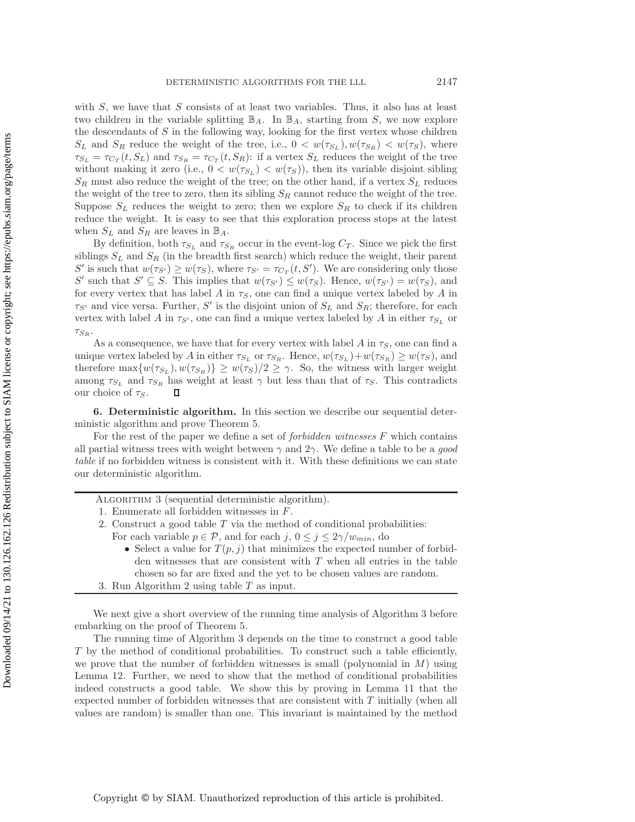with  $S$ , we have that  $S$  consists of at least two variables. Thus, it also has at least two children in the variable splitting  $\mathbb{B}_A$ . In  $\mathbb{B}_A$ , starting from S, we now explore the descendants of S in the following way, looking for the first vertex whose children  $S_L$  and  $S_R$  reduce the weight of the tree, i.e.,  $0 < w(\tau_{S_L})$ ,  $w(\tau_{S_R}) < w(\tau_S)$ , where  $\tau_{S_L} = \tau_{C_T}(t, S_L)$  and  $\tau_{S_R} = \tau_{C_T}(t, S_R)$ : if a vertex  $S_L$  reduces the weight of the tree without making it zero (i.e.,  $0 < w(\tau_{S_L}) < w(\tau_S)$ ), then its variable disjoint sibling  $S_R$  must also reduce the weight of the tree; on the other hand, if a vertex  $S_L$  reduces the weight of the tree to zero, then its sibling  $S_R$  cannot reduce the weight of the tree. Suppose  $S_L$  reduces the weight to zero; then we explore  $S_R$  to check if its children reduce the weight. It is easy to see that this exploration process stops at the latest when  $S_L$  and  $S_R$  are leaves in  $\mathbb{B}_A$ .

By definition, both  $\tau_{S_L}$  and  $\tau_{S_R}$  occur in the event-log  $C_T$ . Since we pick the first siblings  $S_L$  and  $S_R$  (in the breadth first search) which reduce the weight, their parent S' is such that  $w(\tau_{S'}) \geq w(\tau_S)$ , where  $\tau_{S'} = \tau_{C_T}(t, S')$ . We are considering only those S' such that  $S' \subseteq S$ . This implies that  $w(\tau_{S'}) \leq w(\tau_S)$ . Hence,  $w(\tau_{S'}) = w(\tau_S)$ , and for every vertex that has label A in  $\tau_s$ , one can find a unique vertex labeled by A in  $\tau_{S'}$  and vice versa. Further, S' is the disjoint union of  $S_L$  and  $S_R$ ; therefore, for each vertex with label A in  $\tau_{S'}$ , one can find a unique vertex labeled by A in either  $\tau_{S_L}$  or  $\tau_{S_R}.$ 

As a consequence, we have that for every vertex with label A in  $\tau_s$ , one can find a unique vertex labeled by A in either  $\tau_{S_L}$  or  $\tau_{S_R}$ . Hence,  $w(\tau_{S_L})+w(\tau_{S_R}) \geq w(\tau_S)$ , and therefore  $\max\{w(\tau_{S_L}), w(\tau_{S_R})\} \geq w(\tau_S)/2 \geq \gamma$ . So, the witness with larger weight among  $\tau_{S_L}$  and  $\tau_{S_R}$  has weight at least  $\gamma$  but less than that of  $\tau_S$ . This contradicts our choice of  $\tau_S$ .  $\Box$ 

**6. Deterministic algorithm.** In this section we describe our sequential deterministic algorithm and prove Theorem 5.

For the rest of the paper we define a set of *forbidden witnesses* F which contains all partial witness trees with weight between  $\gamma$  and  $2\gamma$ . We define a table to be a *good table* if no forbidden witness is consistent with it. With these definitions we can state our deterministic algorithm.

- 2. Construct a good table  $T$  via the method of conditional probabilities: For each variable  $p \in \mathcal{P}$ , and for each  $j, 0 \leq j \leq 2\gamma/w_{min}$ , do
	- Select a value for  $T(p, j)$  that minimizes the expected number of forbidden witnesses that are consistent with  $T$  when all entries in the table chosen so far are fixed and the yet to be chosen values are random.
- 3. Run Algorithm 2 using table T as input.

We next give a short overview of the running time analysis of Algorithm 3 before embarking on the proof of Theorem 5.

The running time of Algorithm 3 depends on the time to construct a good table T by the method of conditional probabilities. To construct such a table efficiently, we prove that the number of forbidden witnesses is small (polynomial in  $M$ ) using Lemma 12. Further, we need to show that the method of conditional probabilities indeed constructs a good table. We show this by proving in Lemma 11 that the expected number of forbidden witnesses that are consistent with  $T$  initially (when all values are random) is smaller than one. This invariant is maintained by the method

Algorithm 3 (sequential deterministic algorithm).

<sup>1.</sup> Enumerate all forbidden witnesses in F.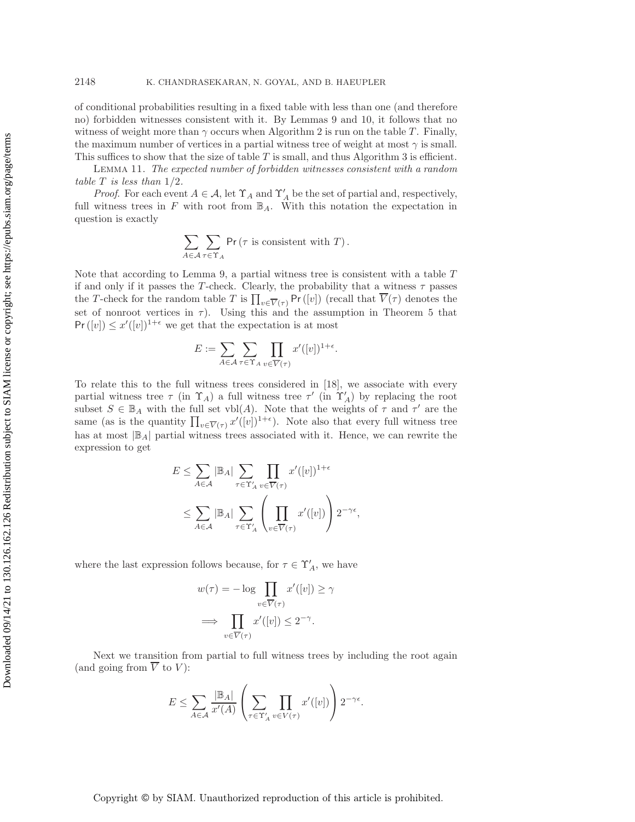of conditional probabilities resulting in a fixed table with less than one (and therefore no) forbidden witnesses consistent with it. By Lemmas 9 and 10, it follows that no witness of weight more than  $\gamma$  occurs when Algorithm 2 is run on the table T. Finally, the maximum number of vertices in a partial witness tree of weight at most  $\gamma$  is small. This suffices to show that the size of table  $T$  is small, and thus Algorithm 3 is efficient.

Lemma 11. *The expected number of forbidden witnesses consistent with a random table*  $T$  *is less than*  $1/2$ *.* 

*Proof.* For each event  $A \in \mathcal{A}$ , let  $\Upsilon_A$  and  $\Upsilon'_A$  be the set of partial and, respectively, full witness trees in  $F$  with root from  $\mathbb{B}_A$ . With this notation the expectation in question is exactly

$$
\sum_{A \in \mathcal{A}} \sum_{\tau \in \Upsilon_A} \Pr(\tau \text{ is consistent with } T).
$$

Note that according to Lemma 9, a partial witness tree is consistent with a table  $T$ if and only if it passes the T-check. Clearly, the probability that a witness  $\tau$  passes the T-check for the random table T is  $\prod_{v \in \overline{V}(\tau)} Pr([v])$  (recall that  $\overline{V}(\tau)$  denotes the set of nonroot vertices in  $\tau$ ). Using this and the assumption in Theorem 5 that  $Pr([v]) \leq x'([v])^{1+\epsilon}$  we get that the expectation is at most

$$
E := \sum_{A \in \mathcal{A}} \sum_{\tau \in \Upsilon_A} \prod_{v \in \overline{V}(\tau)} x'([v])^{1+\epsilon}.
$$

To relate this to the full witness trees considered in [18], we associate with every partial witness tree  $\tau$  (in  $\Upsilon_A$ ) a full witness tree  $\tau'$  (in  $\Upsilon'_A$ ) by replacing the root subset  $S \in \mathbb{B}_A$  with the full set vbl(A). Note that the weights of  $\tau$  and  $\tau'$  are the same (as is the quantity  $\prod_{v \in \overline{V}(\tau)} x'([v])^{1+\epsilon}$ ). Note also that every full witness tree has at most  $|\mathbb{B}_A|$  partial witness trees associated with it. Hence, we can rewrite the expression to get

$$
E \leq \sum_{A \in \mathcal{A}} |\mathbb{B}_A| \sum_{\tau \in \Upsilon_A'} \prod_{v \in \overline{V}(\tau)} x'([v])^{1+\epsilon}
$$
  

$$
\leq \sum_{A \in \mathcal{A}} |\mathbb{B}_A| \sum_{\tau \in \Upsilon_A'} \left( \prod_{v \in \overline{V}(\tau)} x'([v]) \right) 2^{-\gamma \epsilon}
$$

,

where the last expression follows because, for  $\tau \in \Upsilon_A'$ , we have

$$
w(\tau) = -\log \prod_{v \in \overline{V}(\tau)} x'([v]) \ge \gamma
$$

$$
\implies \prod_{v \in \overline{V}(\tau)} x'([v]) \le 2^{-\gamma}.
$$

Next we transition from partial to full witness trees by including the root again (and going from  $\overline{V}$  to  $V$ ):

$$
E \le \sum_{A \in \mathcal{A}} \frac{|\mathbb{B}_A|}{x'(A)} \left( \sum_{\tau \in \Upsilon'_{A}} \prod_{v \in V(\tau)} x'([v]) \right) 2^{-\gamma \epsilon}.
$$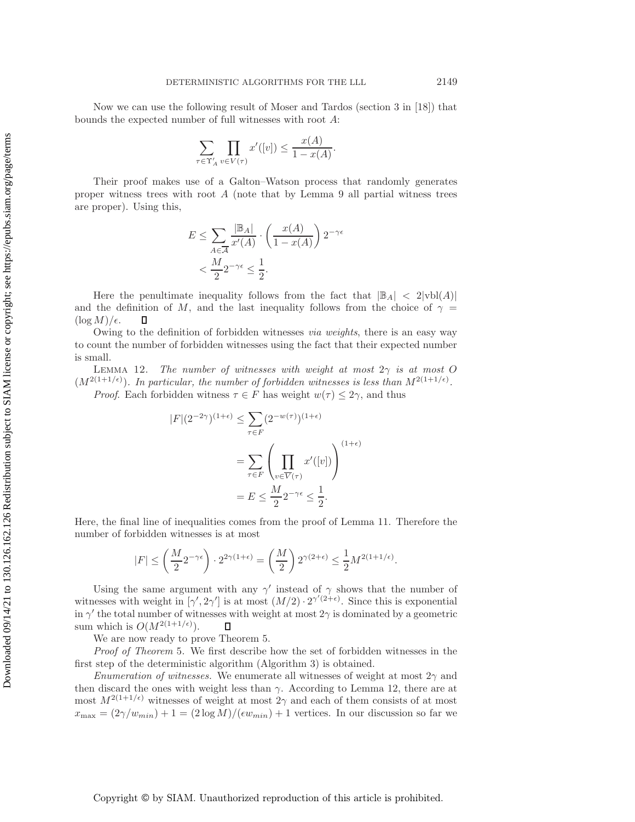Now we can use the following result of Moser and Tardos (section 3 in [18]) that bounds the expected number of full witnesses with root A:

$$
\sum_{\tau \in \Upsilon_A'} \prod_{v \in V(\tau)} x'([v]) \le \frac{x(A)}{1 - x(A)}.
$$

Their proof makes use of a Galton–Watson process that randomly generates proper witness trees with root  $A$  (note that by Lemma 9 all partial witness trees are proper). Using this,

$$
\begin{aligned} E &\leq \sum_{A\in\overline{\mathcal{A}}} \frac{|\mathbb{B}_A|}{x'(A)}\cdot \left(\frac{x(A)}{1-x(A)}\right)2^{-\gamma\epsilon} \\ &< \frac{M}{2}2^{-\gamma\epsilon} \leq \frac{1}{2}. \end{aligned}
$$

Here the penultimate inequality follows from the fact that  $|\mathbb{B}_A| < 2|\text{vbl}(A)|$ and the definition of M, and the last inequality follows from the choice of  $\gamma =$  $(\log M)/\epsilon$ . П

Owing to the definition of forbidden witnesses *via weights*, there is an easy way to count the number of forbidden witnesses using the fact that their expected number is small.

Lemma 12. *The number of witnesses with weight at most* 2γ *is at most* O  $(M^{2(1+1/\epsilon)})$ . In particular, the number of forbidden witnesses is less than  $M^{2(1+1/\epsilon)}$ .

*Proof.* Each forbidden witness  $\tau \in F$  has weight  $w(\tau) \leq 2\gamma$ , and thus

$$
|F|(2^{-2\gamma})^{(1+\epsilon)} \le \sum_{\tau \in F} (2^{-w(\tau)})^{(1+\epsilon)}
$$

$$
= \sum_{\tau \in F} \left(\prod_{v \in \overline{V}(\tau)} x'([v])\right)^{(1+\epsilon)}
$$

$$
= E \le \frac{M}{2} 2^{-\gamma \epsilon} \le \frac{1}{2}.
$$

 $\overline{\phantom{a}}$ 

Here, the final line of inequalities comes from the proof of Lemma 11. Therefore the number of forbidden witnesses is at most

$$
|F| \leq \left(\frac{M}{2}2^{-\gamma \epsilon}\right) \cdot 2^{2\gamma(1+\epsilon)} = \left(\frac{M}{2}\right)2^{\gamma(2+\epsilon)} \leq \frac{1}{2}M^{2(1+1/\epsilon)}.
$$

Using the same argument with any  $\gamma'$  instead of  $\gamma$  shows that the number of witnesses with weight in  $[\gamma', 2\gamma']$  is at most  $(M/2) \cdot 2^{\gamma'(2+\epsilon)}$ . Since this is exponential in  $\gamma'$  the total number of witnesses with weight at most  $2\gamma$  is dominated by a geometric sum which is  $O(M^{2(1+1/\epsilon)})$ .  $\Box$ 

We are now ready to prove Theorem 5.

*Proof of Theorem* 5. We first describe how the set of forbidden witnesses in the first step of the deterministic algorithm (Algorithm 3) is obtained.

*Enumeration of witnesses.* We enumerate all witnesses of weight at most  $2\gamma$  and then discard the ones with weight less than  $\gamma$ . According to Lemma 12, there are at most  $M^{2(1+1/\epsilon)}$  witnesses of weight at most  $2\gamma$  and each of them consists of at most  $x_{\text{max}} = \frac{2\gamma}{w_{\text{min}}} + 1 = \frac{2\log M}{\epsilon w_{\text{min}}} + 1$  vertices. In our discussion so far we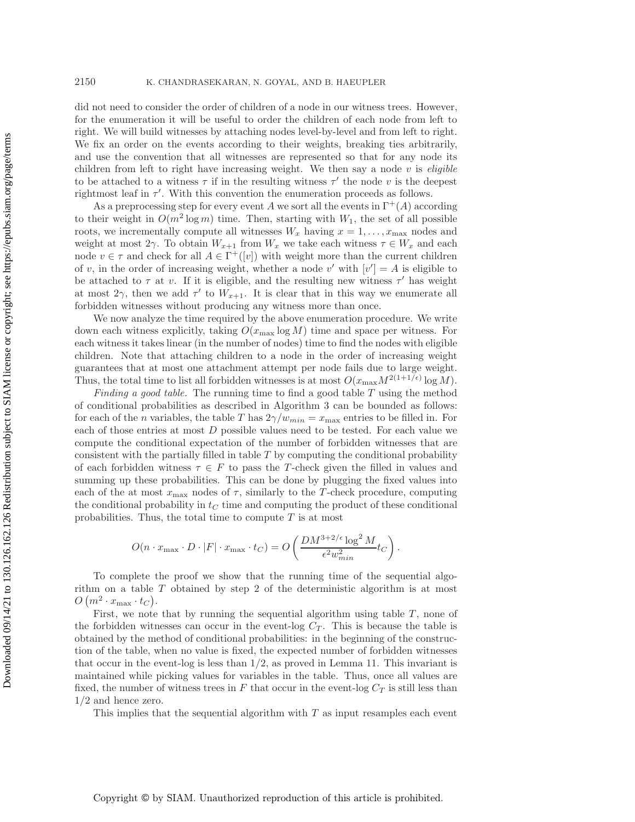did not need to consider the order of children of a node in our witness trees. However, for the enumeration it will be useful to order the children of each node from left to right. We will build witnesses by attaching nodes level-by-level and from left to right. We fix an order on the events according to their weights, breaking ties arbitrarily, and use the convention that all witnesses are represented so that for any node its children from left to right have increasing weight. We then say a node v is *eligible* to be attached to a witness  $\tau$  if in the resulting witness  $\tau'$  the node v is the deepest rightmost leaf in  $\tau'$ . With this convention the enumeration proceeds as follows.

As a preprocessing step for every event A we sort all the events in  $\Gamma^+(A)$  according to their weight in  $O(m^2 \log m)$  time. Then, starting with  $W_1$ , the set of all possible roots, we incrementally compute all witnesses  $W_x$  having  $x = 1, \ldots, x_{\text{max}}$  nodes and weight at most 2γ. To obtain  $W_{x+1}$  from  $W_x$  we take each witness  $\tau \in W_x$  and each node  $v \in \tau$  and check for all  $A \in \Gamma^+([v])$  with weight more than the current children of v, in the order of increasing weight, whether a node v' with  $[v'] = A$  is eligible to be attached to  $\tau$  at v. If it is eligible, and the resulting new witness  $\tau'$  has weight at most  $2\gamma$ , then we add  $\tau'$  to  $W_{x+1}$ . It is clear that in this way we enumerate all forbidden witnesses without producing any witness more than once.

We now analyze the time required by the above enumeration procedure. We write down each witness explicitly, taking  $O(x_{\text{max}} \log M)$  time and space per witness. For each witness it takes linear (in the number of nodes) time to find the nodes with eligible children. Note that attaching children to a node in the order of increasing weight guarantees that at most one attachment attempt per node fails due to large weight. Thus, the total time to list all forbidden witnesses is at most  $O(x_{\text{max}}M^{2(1+1/\epsilon)})\log M$ .

*Finding a good table.* The running time to find a good table T using the method of conditional probabilities as described in Algorithm 3 can be bounded as follows: for each of the *n* variables, the table T has  $2\gamma/w_{min} = x_{\text{max}}$  entries to be filled in. For each of those entries at most  $D$  possible values need to be tested. For each value we compute the conditional expectation of the number of forbidden witnesses that are consistent with the partially filled in table  $T$  by computing the conditional probability of each forbidden witness  $\tau \in F$  to pass the T-check given the filled in values and summing up these probabilities. This can be done by plugging the fixed values into each of the at most  $x_{\text{max}}$  nodes of  $\tau$ , similarly to the T-check procedure, computing the conditional probability in  $t_C$  time and computing the product of these conditional probabilities. Thus, the total time to compute  $T$  is at most

$$
O(n \cdot x_{\max} \cdot D \cdot |F| \cdot x_{\max} \cdot t_C) = O\left(\frac{DM^{3+2/\epsilon} \log^2 M}{\epsilon^2 w_{min}^2} t_C\right).
$$

To complete the proof we show that the running time of the sequential algorithm on a table T obtained by step 2 of the deterministic algorithm is at most  $O(m^2 \cdot x_{\text{max}} \cdot t_C).$ 

First, we note that by running the sequential algorithm using table  $T$ , none of the forbidden witnesses can occur in the event-log  $C_T$ . This is because the table is obtained by the method of conditional probabilities: in the beginning of the construction of the table, when no value is fixed, the expected number of forbidden witnesses that occur in the event-log is less than  $1/2$ , as proved in Lemma 11. This invariant is maintained while picking values for variables in the table. Thus, once all values are fixed, the number of witness trees in F that occur in the event-log  $C_T$  is still less than 1/2 and hence zero.

This implies that the sequential algorithm with  $T$  as input resamples each event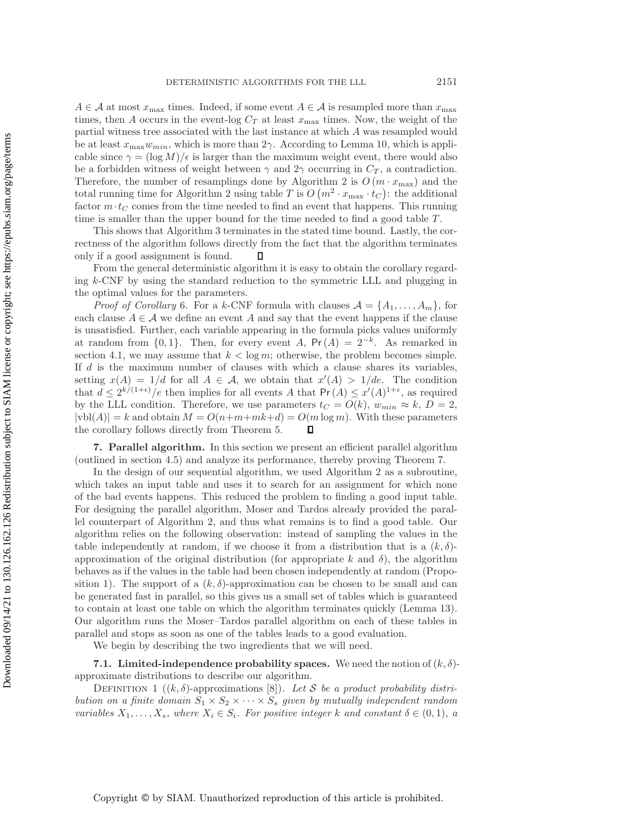$A \in \mathcal{A}$  at most  $x_{\text{max}}$  times. Indeed, if some event  $A \in \mathcal{A}$  is resampled more than  $x_{\text{max}}$ times, then A occurs in the event-log  $C_T$  at least  $x_{\text{max}}$  times. Now, the weight of the partial witness tree associated with the last instance at which A was resampled would be at least  $x_{\text{max}}w_{\text{min}}$ , which is more than  $2\gamma$ . According to Lemma 10, which is applicable since  $\gamma = (\log M)/\epsilon$  is larger than the maximum weight event, there would also be a forbidden witness of weight between  $\gamma$  and  $2\gamma$  occurring in  $C_T$ , a contradiction. Therefore, the number of resamplings done by Algorithm 2 is  $O(m \cdot x_{\text{max}})$  and the total running time for Algorithm 2 using table T is  $O(m^2 \cdot x_{\text{max}} \cdot t_C)$ : the additional factor  $m \cdot t_C$  comes from the time needed to find an event that happens. This running time is smaller than the upper bound for the time needed to find a good table  $T$ .

This shows that Algorithm 3 terminates in the stated time bound. Lastly, the correctness of the algorithm follows directly from the fact that the algorithm terminates only if a good assignment is found. Л

From the general deterministic algorithm it is easy to obtain the corollary regarding k-CNF by using the standard reduction to the symmetric LLL and plugging in the optimal values for the parameters.

*Proof of Corollary* 6. For a k-CNF formula with clauses  $\mathcal{A} = \{A_1, \ldots, A_m\}$ , for each clause  $A \in \mathcal{A}$  we define an event A and say that the event happens if the clause is unsatisfied. Further, each variable appearing in the formula picks values uniformly at random from  $\{0,1\}$ . Then, for every event A, Pr(A) = 2<sup>-k</sup>. As remarked in section 4.1, we may assume that  $k < \log m$ ; otherwise, the problem becomes simple. If  $d$  is the maximum number of clauses with which a clause shares its variables, setting  $x(A) = 1/d$  for all  $A \in \mathcal{A}$ , we obtain that  $x'(A) > 1/de$ . The condition that  $d \leq 2^{k/(1+\epsilon)}/e$  then implies for all events A that  $Pr(A) \leq x'(A)^{1+\epsilon}$ , as required by the LLL condition. Therefore, we use parameters  $t_C = O(k)$ ,  $w_{min} \approx k$ ,  $D = 2$ ,  $|vbl(A)| = k$  and obtain  $M = O(n+m+mk+d) = O(m \log m)$ . With these parameters the corollary follows directly from Theorem 5. П

**7. Parallel algorithm.** In this section we present an efficient parallel algorithm (outlined in section 4.5) and analyze its performance, thereby proving Theorem 7.

In the design of our sequential algorithm, we used Algorithm 2 as a subroutine, which takes an input table and uses it to search for an assignment for which none of the bad events happens. This reduced the problem to finding a good input table. For designing the parallel algorithm, Moser and Tardos already provided the parallel counterpart of Algorithm 2, and thus what remains is to find a good table. Our algorithm relies on the following observation: instead of sampling the values in the table independently at random, if we choose it from a distribution that is a  $(k, \delta)$ approximation of the original distribution (for appropriate k and  $\delta$ ), the algorithm behaves as if the values in the table had been chosen independently at random (Proposition 1). The support of a  $(k, \delta)$ -approximation can be chosen to be small and can be generated fast in parallel, so this gives us a small set of tables which is guaranteed to contain at least one table on which the algorithm terminates quickly (Lemma 13). Our algorithm runs the Moser–Tardos parallel algorithm on each of these tables in parallel and stops as soon as one of the tables leads to a good evaluation.

We begin by describing the two ingredients that we will need.

**7.1. Limited-independence probability spaces.** We need the notion of  $(k, \delta)$ approximate distributions to describe our algorithm.

DEFINITION 1  $((k, \delta)$ -approximations [8]). Let S be a product probability distri*bution on a finite domain*  $S_1 \times S_2 \times \cdots \times S_s$  *given by mutually independent random variables*  $X_1, \ldots, X_s$ *, where*  $X_i \in S_i$ *. For positive integer* k and constant  $\delta \in (0,1)$ *, a*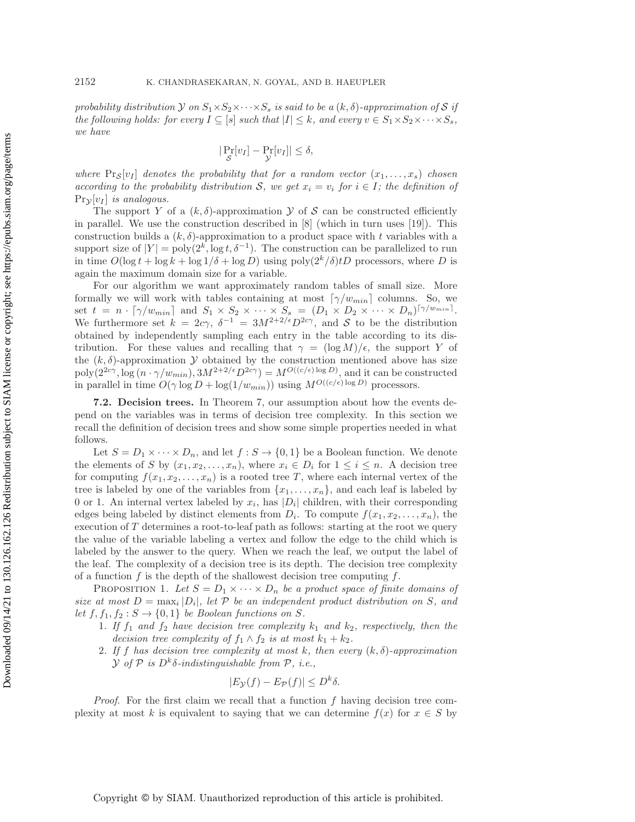*probability distribution*  $\mathcal Y$  *on*  $S_1 \times S_2 \times \cdots \times S_s$  *is said to be a*  $(k, \delta)$ *-approximation of*  $\mathcal S$  *if the following holds: for every*  $I \subseteq [s]$  *such that*  $|I| \leq k$ *, and every*  $v \in S_1 \times S_2 \times \cdots \times S_s$ *, we have*

$$
|\Pr_{\mathcal{S}}[v_I] - \Pr_{\mathcal{Y}}[v_I]| \le \delta,
$$

*where*  $\Pr_{\mathcal{S}}[v_I]$  *denotes the probability that for a random vector*  $(x_1, \ldots, x_s)$  *chosen according to the probability distribution*  $S$ *, we get*  $x_i = v_i$  *for*  $i \in I$ *; the definition of*  $Pr_{\mathcal{Y}}[v_I]$  *is analogous.* 

The support Y of a  $(k, \delta)$ -approximation Y of S can be constructed efficiently in parallel. We use the construction described in [8] (which in turn uses [19]). This construction builds a  $(k, \delta)$ -approximation to a product space with t variables with a support size of  $|Y| = poly(2^k, \log t, \delta^{-1})$ . The construction can be parallelized to run in time  $O(\log t + \log k + \log 1/\delta + \log D)$  using  $\text{poly}(2^k/\delta)tD$  processors, where D is again the maximum domain size for a variable.

For our algorithm we want approximately random tables of small size. More formally we will work with tables containing at most  $\lceil \gamma/w_{min} \rceil$  columns. So, we set  $t = n \cdot [\gamma/w_{min}]$  and  $S_1 \times S_2 \times \cdots \times S_s = (D_1 \times D_2 \times \cdots \times D_n)^{[\gamma/w_{min}]}$ .<br>We furthermore set  $k = 2c\gamma$ ,  $\delta^{-1} = 3M^{2+2/\epsilon}D^{2c\gamma}$ , and S to be the distribution obtained by independently sampling each entry in the table according to its distribution. For these values and recalling that  $\gamma = (\log M)/\epsilon$ , the support Y of the  $(k, \delta)$ -approximation  $\mathcal Y$  obtained by the construction mentioned above has size  $poly(2^{2c\gamma}, \log(n\cdot\gamma/w_{min}), 3M^{2+2/\epsilon}D^{2c\gamma}) = M^{O((c/\epsilon)\log D)}$ , and it can be constructed in parallel in time  $O(\gamma \log D + \log(1/w_{min}))$  using  $M^{O((c/\epsilon) \log D)}$  processors.

**7.2. Decision trees.** In Theorem 7, our assumption about how the events depend on the variables was in terms of decision tree complexity. In this section we recall the definition of decision trees and show some simple properties needed in what follows.

Let  $S = D_1 \times \cdots \times D_n$ , and let  $f : S \to \{0,1\}$  be a Boolean function. We denote the elements of S by  $(x_1, x_2,...,x_n)$ , where  $x_i \in D_i$  for  $1 \leq i \leq n$ . A decision tree for computing  $f(x_1, x_2,...,x_n)$  is a rooted tree T, where each internal vertex of the tree is labeled by one of the variables from  $\{x_1,\ldots,x_n\}$ , and each leaf is labeled by 0 or 1. An internal vertex labeled by  $x_i$ , has  $|D_i|$  children, with their corresponding edges being labeled by distinct elements from  $D_i$ . To compute  $f(x_1, x_2, \ldots, x_n)$ , the execution of T determines a root-to-leaf path as follows: starting at the root we query the value of the variable labeling a vertex and follow the edge to the child which is labeled by the answer to the query. When we reach the leaf, we output the label of the leaf. The complexity of a decision tree is its depth. The decision tree complexity of a function  $f$  is the depth of the shallowest decision tree computing  $f$ .

PROPOSITION 1. Let  $S = D_1 \times \cdots \times D_n$  be a product space of finite domains of *size at most*  $D = \max_i |D_i|$ *, let*  $P$  *be an independent product distribution on*  $S$ *, and let*  $f, f_1, f_2 : S \to \{0, 1\}$  *be Boolean functions on* S.

- 1. If  $f_1$  and  $f_2$  have decision tree complexity  $k_1$  and  $k_2$ , respectively, then the *decision tree complexity of*  $f_1 \wedge f_2$  *is at most*  $k_1 + k_2$ *.*
- 2. If f has decision tree complexity at most k, then every  $(k, \delta)$ -approximation  $\mathcal{Y}$  *of*  $\mathcal{P}$  *is*  $D^k \delta$ -indistinguishable from  $\mathcal{P}$ , *i.e.*,

$$
|E_{\mathcal{Y}}(f) - E_{\mathcal{P}}(f)| \le D^k \delta.
$$

*Proof.* For the first claim we recall that a function f having decision tree complexity at most k is equivalent to saying that we can determine  $f(x)$  for  $x \in S$  by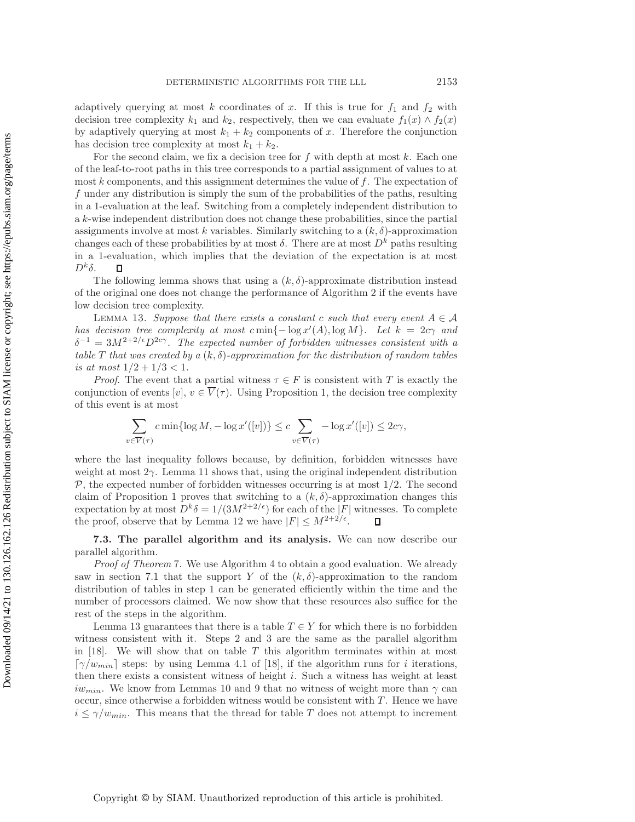adaptively querying at most k coordinates of x. If this is true for  $f_1$  and  $f_2$  with decision tree complexity  $k_1$  and  $k_2$ , respectively, then we can evaluate  $f_1(x) \wedge f_2(x)$ by adaptively querying at most  $k_1 + k_2$  components of x. Therefore the conjunction has decision tree complexity at most  $k_1 + k_2$ .

For the second claim, we fix a decision tree for  $f$  with depth at most  $k$ . Each one of the leaf-to-root paths in this tree corresponds to a partial assignment of values to at most  $k$  components, and this assignment determines the value of  $f$ . The expectation of f under any distribution is simply the sum of the probabilities of the paths, resulting in a 1-evaluation at the leaf. Switching from a completely independent distribution to a k-wise independent distribution does not change these probabilities, since the partial assignments involve at most k variables. Similarly switching to a  $(k, \delta)$ -approximation changes each of these probabilities by at most  $\delta$ . There are at most  $D^k$  paths resulting in a 1-evaluation, which implies that the deviation of the expectation is at most  $D^k\delta$ .  $\Box$ 

The following lemma shows that using a  $(k, \delta)$ -approximate distribution instead of the original one does not change the performance of Algorithm 2 if the events have low decision tree complexity.

LEMMA 13. Suppose that there exists a constant c such that every event  $A \in \mathcal{A}$ *has decision tree complexity at most*  $c \min\{-\log x'(A), \log M\}$ *. Let*  $k = 2c\gamma$  and  $\delta^{-1} = 3M^{2+2/\epsilon}D^{2c\gamma}$ . The expected number of forbidden witnesses consistent with a *table* T *that was created by a*  $(k, \delta)$ *-approximation for the distribution of random tables is at most*  $1/2 + 1/3 < 1$ *.* 

*Proof.* The event that a partial witness  $\tau \in F$  is consistent with T is exactly the conjunction of events  $[v], v \in \overline{V}(\tau)$ . Using Proposition 1, the decision tree complexity of this event is at most

$$
\sum_{v \in \overline{V}(\tau)} c \min\{\log M, -\log x'([v])\} \le c \sum_{v \in \overline{V}(\tau)} -\log x'([v]) \le 2c\gamma,
$$

where the last inequality follows because, by definition, forbidden witnesses have weight at most  $2\gamma$ . Lemma 11 shows that, using the original independent distribution  $P$ , the expected number of forbidden witnesses occurring is at most  $1/2$ . The second claim of Proposition 1 proves that switching to a  $(k, \delta)$ -approximation changes this expectation by at most  $D^k \delta = 1/(3M^{2+2/\epsilon})$  for each of the  $|F|$  witnesses. To complete the proof, observe that by Lemma 12 we have  $|F| \leq M^{2+2/\epsilon}$ .  $\Box$ 

**7.3. The parallel algorithm and its analysis.** We can now describe our parallel algorithm.

*Proof of Theorem* 7. We use Algorithm 4 to obtain a good evaluation. We already saw in section 7.1 that the support Y of the  $(k, \delta)$ -approximation to the random distribution of tables in step 1 can be generated efficiently within the time and the number of processors claimed. We now show that these resources also suffice for the rest of the steps in the algorithm.

Lemma 13 guarantees that there is a table  $T \in Y$  for which there is no forbidden witness consistent with it. Steps 2 and 3 are the same as the parallel algorithm in  $[18]$ . We will show that on table  $T$  this algorithm terminates within at most  $[\gamma/w_{min}]$  steps: by using Lemma 4.1 of [18], if the algorithm runs for *i* iterations, then there exists a consistent witness of height  $i$ . Such a witness has weight at least  $iw_{min}$ . We know from Lemmas 10 and 9 that no witness of weight more than  $\gamma$  can occur, since otherwise a forbidden witness would be consistent with  $T$ . Hence we have  $i \leq \gamma/w_{min}$ . This means that the thread for table T does not attempt to increment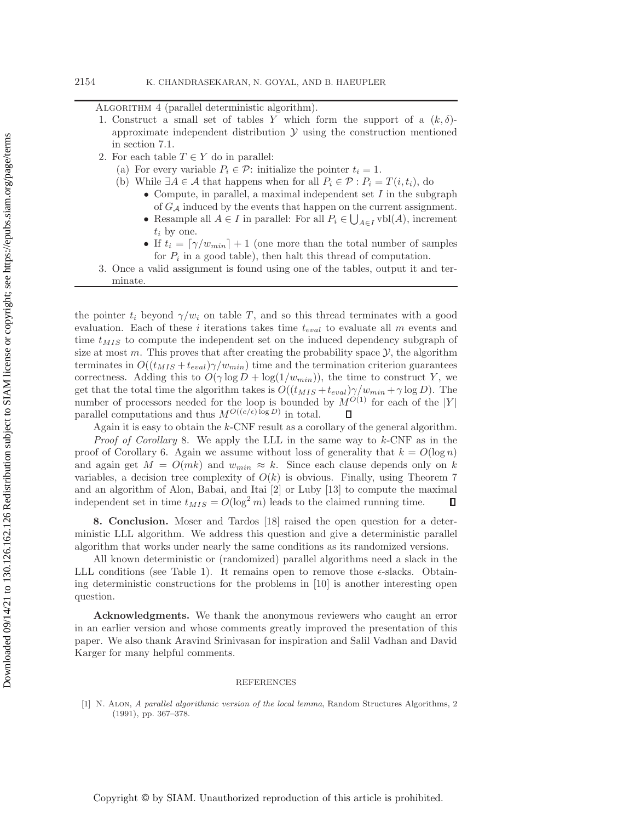Algorithm 4 (parallel deterministic algorithm).

- 1. Construct a small set of tables Y which form the support of a  $(k, \delta)$ approximate independent distribution  $\mathcal Y$  using the construction mentioned in section 7.1.
- 2. For each table  $T \in Y$  do in parallel:
	- (a) For every variable  $P_i \in \mathcal{P}$ : initialize the pointer  $t_i = 1$ .
	- (b) While  $\exists A \in \mathcal{A}$  that happens when for all  $P_i \in \mathcal{P} : P_i = T(i, t_i)$ , do
		- Compute, in parallel, a maximal independent set  $I$  in the subgraph of  $G_{\mathcal{A}}$  induced by the events that happen on the current assignment.
		- Resample all  $A \in I$  in parallel: For all  $P_i \in \bigcup_{A \in I} \text{vbl}(A)$ , increment  $t_i$  by one.
		- If  $t_i = \lfloor \gamma/w_{min} \rfloor + 1$  (one more than the total number of samples for  $P_i$  in a good table), then halt this thread of computation.
- 3. Once a valid assignment is found using one of the tables, output it and terminate.

the pointer  $t_i$  beyond  $\gamma/w_i$  on table T, and so this thread terminates with a good evaluation. Each of these i iterations takes time  $t_{eval}$  to evaluate all m events and time  $t_{MIS}$  to compute the independent set on the induced dependency subgraph of size at most  $m$ . This proves that after creating the probability space  $\mathcal{Y}$ , the algorithm terminates in  $O((t_{MIS} + t_{eval})\gamma/w_{min})$  time and the termination criterion guarantees correctness. Adding this to  $O(\gamma \log D + \log(1/w_{min}))$ , the time to construct Y, we get that the total time the algorithm takes is  $O((t_{MIS} + t_{eval})\gamma/w_{min} + \gamma \log D)$ . The number of processors needed for the loop is bounded by  $M^{O(1)}$  for each of the |Y| parallel computations and thus  $M^{O((c/\epsilon)\log D)}$  in total.  $\Box$ 

Again it is easy to obtain the  $k$ -CNF result as a corollary of the general algorithm.

*Proof of Corollary* 8. We apply the LLL in the same way to k-CNF as in the proof of Corollary 6. Again we assume without loss of generality that  $k = O(\log n)$ and again get  $M = O(mk)$  and  $w_{min} \approx k$ . Since each clause depends only on k variables, a decision tree complexity of  $O(k)$  is obvious. Finally, using Theorem 7 and an algorithm of Alon, Babai, and Itai [2] or Luby [13] to compute the maximal independent set in time  $t_{MIS} = O(\log^2 m)$  leads to the claimed running time.  $\Box$ 

**8. Conclusion.** Moser and Tardos [18] raised the open question for a deterministic LLL algorithm. We address this question and give a deterministic parallel algorithm that works under nearly the same conditions as its randomized versions.

All known deterministic or (randomized) parallel algorithms need a slack in the LLL conditions (see Table 1). It remains open to remove those  $\epsilon$ -slacks. Obtaining deterministic constructions for the problems in [10] is another interesting open question.

**Acknowledgments.** We thank the anonymous reviewers who caught an error in an earlier version and whose comments greatly improved the presentation of this paper. We also thank Aravind Srinivasan for inspiration and Salil Vadhan and David Karger for many helpful comments.

## **REFERENCES**

[1] N. Alon, A parallel algorithmic version of the local lemma, Random Structures Algorithms, 2 (1991), pp. 367–378.

Downloaded 09/14/21 to 130.126.162.126 Redistribution subject to SIAM license or copyright; see https://epubs.siam.org/page/terms Downloaded 09/14/21 to 130.126.162.126 Redistribution subject to SIAM license or copyright; see https://epubs.siam.org/page/terms